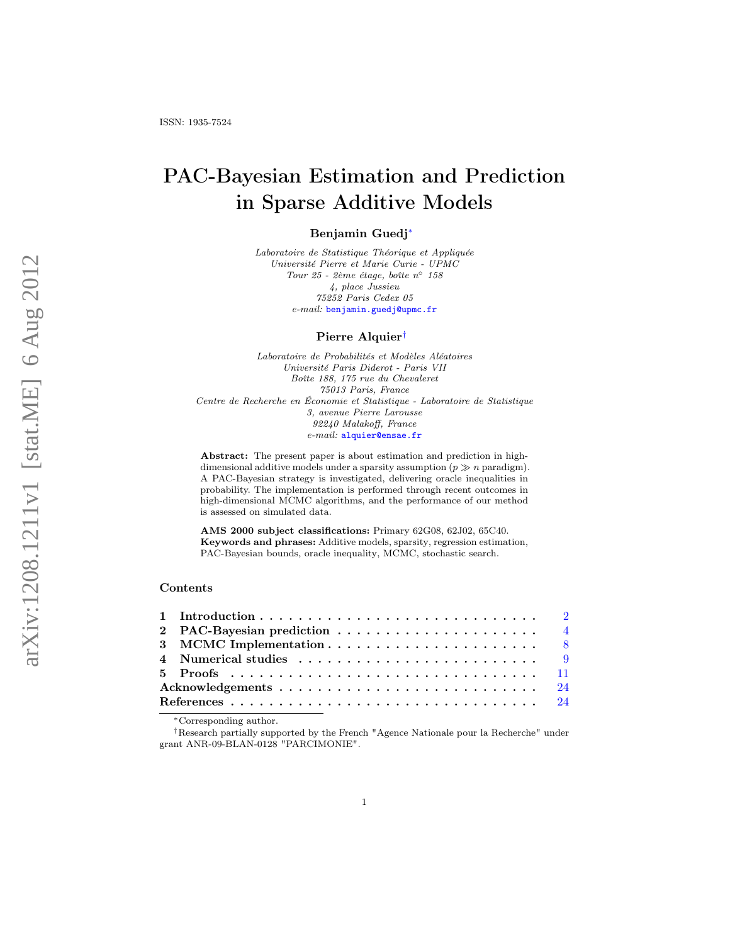# PAC-Bayesian Estimation and Prediction in Sparse Additive Models

## Benjamin Guedj[∗](#page-0-0)

Laboratoire de Statistique Théorique et Appliquée Université Pierre et Marie Curie - UPMC Tour 25 - 2ème étage, boîte n◦ 158 4, place Jussieu 75252 Paris Cedex 05  $e\text{-}mail:$  [benjamin.guedj@upmc.fr](mailto:benjamin.guedj@upmc.fr)

#### Pierre Alquier[†](#page-0-1)

Laboratoire de Probabilités et Modèles Aléatoires Université Paris Diderot - Paris VII Boîte 188, 175 rue du Chevaleret 75013 Paris, France Centre de Recherche en Économie et Statistique - Laboratoire de Statistique 3, avenue Pierre Larousse 92240 Malakoff, France e-mail: [alquier@ensae.fr](mailto:alquier@ensae.fr)

Abstract: The present paper is about estimation and prediction in highdimensional additive models under a sparsity assumption  $(p \gg n \text{ paradigm}).$ A PAC-Bayesian strategy is investigated, delivering oracle inequalities in probability. The implementation is performed through recent outcomes in high-dimensional MCMC algorithms, and the performance of our method is assessed on simulated data.

AMS 2000 subject classifications: Primary 62G08, 62J02, 65C40. Keywords and phrases: Additive models, sparsity, regression estimation, PAC-Bayesian bounds, oracle inequality, MCMC, stochastic search.

#### Contents

| 2 PAC-Bayesian prediction $\ldots \ldots \ldots \ldots \ldots \ldots \ldots$ |  |
|------------------------------------------------------------------------------|--|
|                                                                              |  |
| 4 Numerical studies $\ldots \ldots \ldots \ldots \ldots \ldots \ldots$       |  |
|                                                                              |  |
|                                                                              |  |
|                                                                              |  |
|                                                                              |  |

<span id="page-0-1"></span><span id="page-0-0"></span><sup>∗</sup>Corresponding author.

†Research partially supported by the French "Agence Nationale pour la Recherche" under grant ANR-09-BLAN-0128 "PARCIMONIE".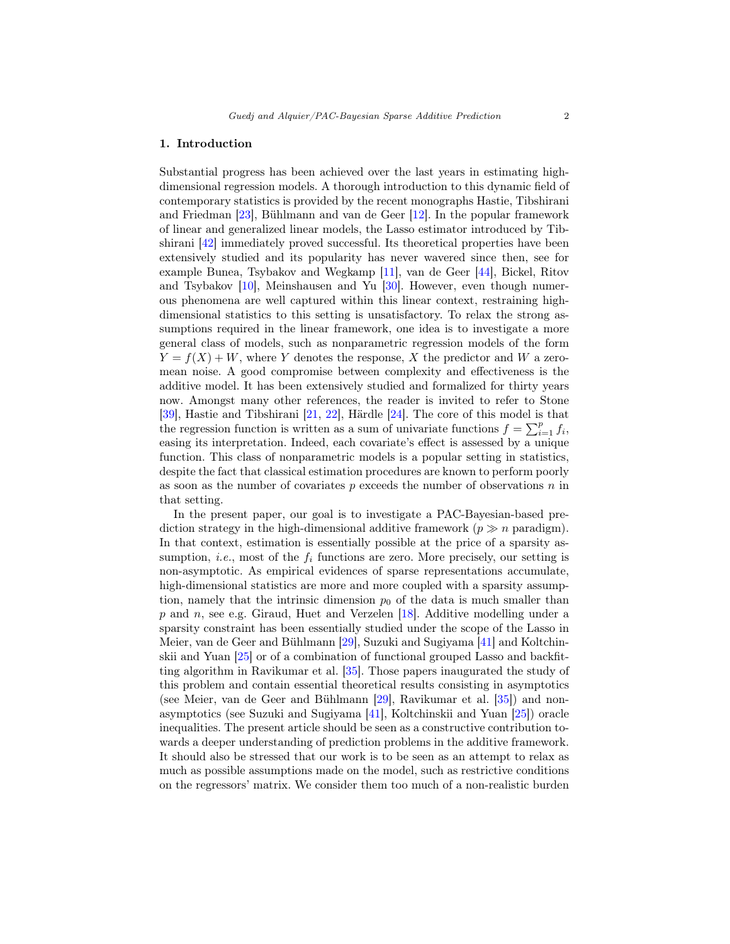#### <span id="page-1-0"></span>1. Introduction

Substantial progress has been achieved over the last years in estimating highdimensional regression models. A thorough introduction to this dynamic field of contemporary statistics is provided by the recent monographs Hastie, Tibshirani and Friedman [\[23\]](#page-24-0), Bühlmann and van de Geer [\[12\]](#page-24-1). In the popular framework of linear and generalized linear models, the Lasso estimator introduced by Tibshirani [\[42\]](#page-25-0) immediately proved successful. Its theoretical properties have been extensively studied and its popularity has never wavered since then, see for example Bunea, Tsybakov and Wegkamp [\[11\]](#page-24-2), van de Geer [\[44\]](#page-25-1), Bickel, Ritov and Tsybakov [\[10\]](#page-24-3), Meinshausen and Yu [\[30\]](#page-25-2). However, even though numerous phenomena are well captured within this linear context, restraining highdimensional statistics to this setting is unsatisfactory. To relax the strong assumptions required in the linear framework, one idea is to investigate a more general class of models, such as nonparametric regression models of the form  $Y = f(X) + W$ , where Y denotes the response, X the predictor and W a zeromean noise. A good compromise between complexity and effectiveness is the additive model. It has been extensively studied and formalized for thirty years now. Amongst many other references, the reader is invited to refer to Stone [\[39\]](#page-25-3), Hastie and Tibshirani [\[21,](#page-24-4) [22\]](#page-24-5), Härdle [\[24\]](#page-24-6). The core of this model is that the regression function is written as a sum of univariate functions  $f = \sum_{i=1}^{p} f_i$ , easing its interpretation. Indeed, each covariate's effect is assessed by a unique function. This class of nonparametric models is a popular setting in statistics, despite the fact that classical estimation procedures are known to perform poorly as soon as the number of covariates  $p$  exceeds the number of observations  $n$  in that setting.

In the present paper, our goal is to investigate a PAC-Bayesian-based prediction strategy in the high-dimensional additive framework ( $p \gg n$  paradigm). In that context, estimation is essentially possible at the price of a sparsity assumption, *i.e.*, most of the  $f_i$  functions are zero. More precisely, our setting is non-asymptotic. As empirical evidences of sparse representations accumulate, high-dimensional statistics are more and more coupled with a sparsity assumption, namely that the intrinsic dimension  $p_0$  of the data is much smaller than  $p$  and  $n$ , see e.g. Giraud, Huet and Verzelen [\[18\]](#page-24-7). Additive modelling under a sparsity constraint has been essentially studied under the scope of the Lasso in Meier, van de Geer and Bühlmann [\[29\]](#page-25-4), Suzuki and Sugiyama [\[41\]](#page-25-5) and Koltchinskii and Yuan [\[25\]](#page-24-8) or of a combination of functional grouped Lasso and backfitting algorithm in Ravikumar et al. [\[35\]](#page-25-6). Those papers inaugurated the study of this problem and contain essential theoretical results consisting in asymptotics (see Meier, van de Geer and Bühlmann [\[29\]](#page-25-4), Ravikumar et al. [\[35\]](#page-25-6)) and nonasymptotics (see Suzuki and Sugiyama [\[41\]](#page-25-5), Koltchinskii and Yuan [\[25\]](#page-24-8)) oracle inequalities. The present article should be seen as a constructive contribution towards a deeper understanding of prediction problems in the additive framework. It should also be stressed that our work is to be seen as an attempt to relax as much as possible assumptions made on the model, such as restrictive conditions on the regressors' matrix. We consider them too much of a non-realistic burden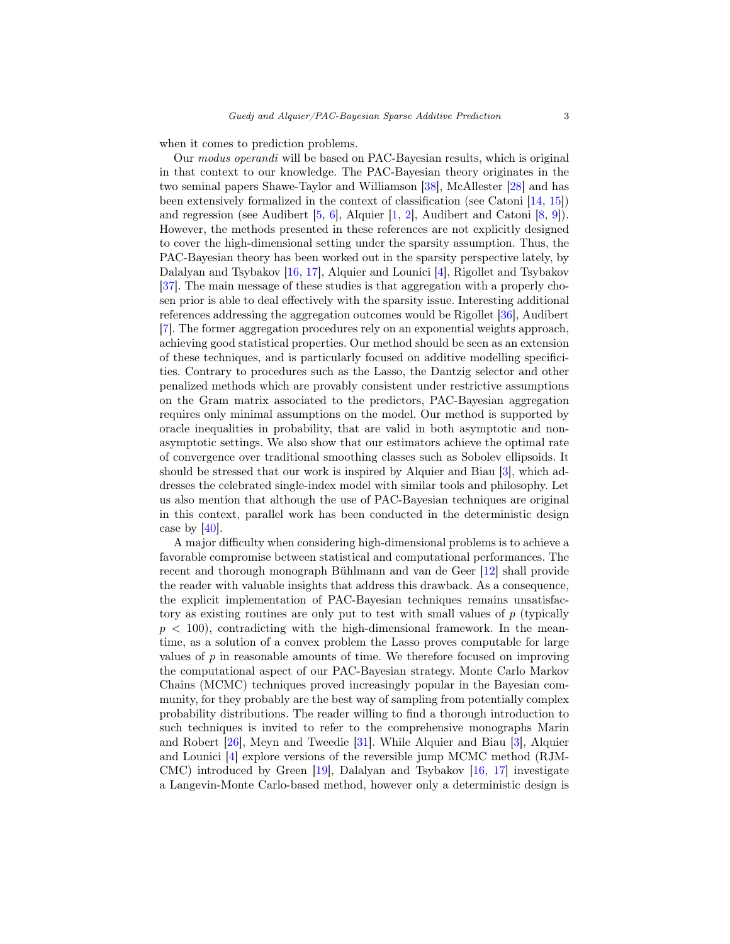when it comes to prediction problems.

Our modus operandi will be based on PAC-Bayesian results, which is original in that context to our knowledge. The PAC-Bayesian theory originates in the two seminal papers Shawe-Taylor and Williamson [\[38\]](#page-25-7), McAllester [\[28\]](#page-25-8) and has been extensively formalized in the context of classification (see Catoni [\[14,](#page-24-9) [15\]](#page-24-10)) and regression (see Audibert [\[5,](#page-23-2) [6\]](#page-23-3), Alquier [\[1,](#page-23-4) [2\]](#page-23-5), Audibert and Catoni [\[8,](#page-23-6) [9\]](#page-24-11)). However, the methods presented in these references are not explicitly designed to cover the high-dimensional setting under the sparsity assumption. Thus, the PAC-Bayesian theory has been worked out in the sparsity perspective lately, by Dalalyan and Tsybakov [\[16,](#page-24-12) [17\]](#page-24-13), Alquier and Lounici [\[4\]](#page-23-7), Rigollet and Tsybakov [\[37\]](#page-25-9). The main message of these studies is that aggregation with a properly chosen prior is able to deal effectively with the sparsity issue. Interesting additional references addressing the aggregation outcomes would be Rigollet [\[36\]](#page-25-10), Audibert [\[7\]](#page-23-8). The former aggregation procedures rely on an exponential weights approach, achieving good statistical properties. Our method should be seen as an extension of these techniques, and is particularly focused on additive modelling specificities. Contrary to procedures such as the Lasso, the Dantzig selector and other penalized methods which are provably consistent under restrictive assumptions on the Gram matrix associated to the predictors, PAC-Bayesian aggregation requires only minimal assumptions on the model. Our method is supported by oracle inequalities in probability, that are valid in both asymptotic and nonasymptotic settings. We also show that our estimators achieve the optimal rate of convergence over traditional smoothing classes such as Sobolev ellipsoids. It should be stressed that our work is inspired by Alquier and Biau [\[3\]](#page-23-9), which addresses the celebrated single-index model with similar tools and philosophy. Let us also mention that although the use of PAC-Bayesian techniques are original in this context, parallel work has been conducted in the deterministic design case by [\[40\]](#page-25-11).

A major difficulty when considering high-dimensional problems is to achieve a favorable compromise between statistical and computational performances. The recent and thorough monograph Bühlmann and van de Geer [\[12\]](#page-24-1) shall provide the reader with valuable insights that address this drawback. As a consequence, the explicit implementation of PAC-Bayesian techniques remains unsatisfactory as existing routines are only put to test with small values of p (typically  $p < 100$ , contradicting with the high-dimensional framework. In the meantime, as a solution of a convex problem the Lasso proves computable for large values of  $p$  in reasonable amounts of time. We therefore focused on improving the computational aspect of our PAC-Bayesian strategy. Monte Carlo Markov Chains (MCMC) techniques proved increasingly popular in the Bayesian community, for they probably are the best way of sampling from potentially complex probability distributions. The reader willing to find a thorough introduction to such techniques is invited to refer to the comprehensive monographs Marin and Robert [\[26\]](#page-24-14), Meyn and Tweedie [\[31\]](#page-25-12). While Alquier and Biau [\[3\]](#page-23-9), Alquier and Lounici [\[4\]](#page-23-7) explore versions of the reversible jump MCMC method (RJM-CMC) introduced by Green [\[19\]](#page-24-15), Dalalyan and Tsybakov [\[16,](#page-24-12) [17\]](#page-24-13) investigate a Langevin-Monte Carlo-based method, however only a deterministic design is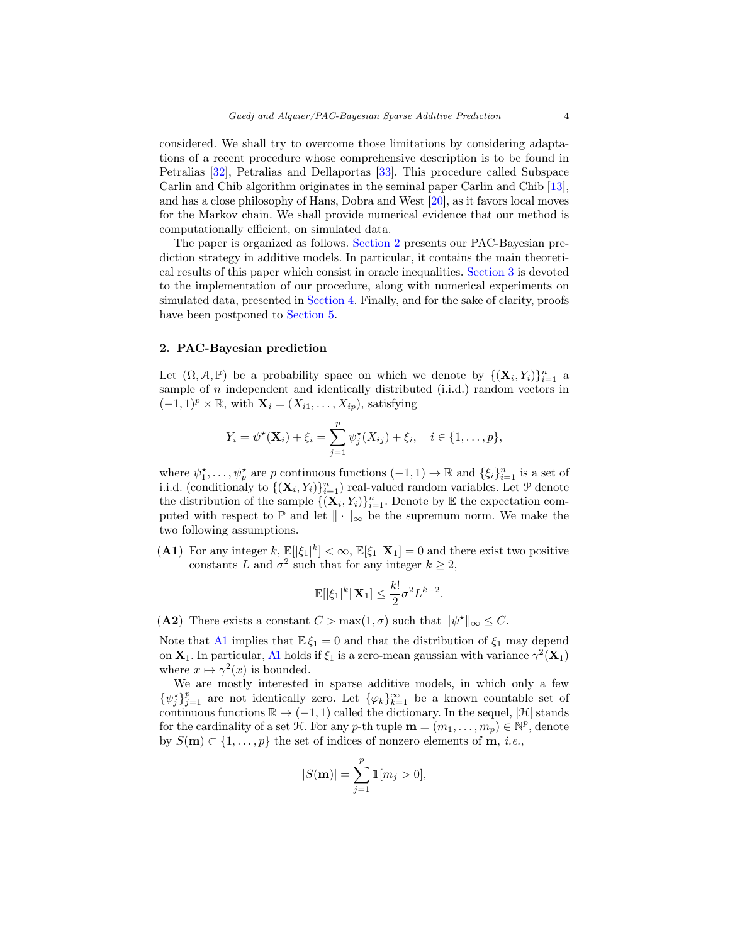considered. We shall try to overcome those limitations by considering adaptations of a recent procedure whose comprehensive description is to be found in Petralias [\[32\]](#page-25-13), Petralias and Dellaportas [\[33\]](#page-25-14). This procedure called Subspace Carlin and Chib algorithm originates in the seminal paper Carlin and Chib [\[13\]](#page-24-16), and has a close philosophy of Hans, Dobra and West [\[20\]](#page-24-17), as it favors local moves for the Markov chain. We shall provide numerical evidence that our method is computationally efficient, on simulated data.

The paper is organized as follows. [Section 2](#page-3-0) presents our PAC-Bayesian prediction strategy in additive models. In particular, it contains the main theoretical results of this paper which consist in oracle inequalities. [Section 3](#page-7-0) is devoted to the implementation of our procedure, along with numerical experiments on simulated data, presented in [Section 4.](#page-8-0) Finally, and for the sake of clarity, proofs have been postponed to [Section 5.](#page-10-0)

## <span id="page-3-0"></span>2. PAC-Bayesian prediction

Let  $(\Omega, \mathcal{A}, \mathbb{P})$  be a probability space on which we denote by  $\{(\mathbf{X}_i, Y_i)\}_{i=1}^n$  a sample of  $n$  independent and identically distributed  $(i.i.d.)$  random vectors in  $(-1, 1)^p \times \mathbb{R}$ , with  $\mathbf{X}_i = (X_{i1}, \dots, X_{ip})$ , satisfying

$$
Y_i = \psi^{\star}(\mathbf{X}_i) + \xi_i = \sum_{j=1}^p \psi_j^{\star}(X_{ij}) + \xi_i, \quad i \in \{1, ..., p\},
$$

where  $\psi_1^*, \ldots, \psi_p^*$  are p continuous functions  $(-1,1) \to \mathbb{R}$  and  $\{\xi_i\}_{i=1}^n$  is a set of i.i.d. (conditionaly to  $\{(\mathbf{X}_i, Y_i)\}_{i=1}^n$ ) real-valued random variables. Let  $P$  denote the distribution of the sample  $\{(\mathbf{X}_i, Y_i)\}_{i=1}^n$ . Denote by E the expectation computed with respect to  $\mathbb P$  and let  $\|\cdot\|_{\infty}$  be the supremum norm. We make the two following assumptions.

(A1) For any integer k,  $\mathbb{E}[\xi_1|^k] < \infty$ ,  $\mathbb{E}[\xi_1|\mathbf{X}_1] = 0$  and there exist two positive constants L and  $\sigma^2$  such that for any integer  $k \geq 2$ ,

<span id="page-3-1"></span>
$$
\mathbb{E}[|\xi_1|^k|\mathbf{X}_1] \leq \frac{k!}{2}\sigma^2 L^{k-2}.
$$

<span id="page-3-2"></span>(A2) There exists a constant  $C > \max(1, \sigma)$  such that  $\|\psi^*\|_{\infty} \leq C$ .

Note that [A1](#page-3-1) implies that  $\mathbb{E}\xi_1 = 0$  and that the distribution of  $\xi_1$  may depend on  $\mathbf{X}_1$ . In particular, [A1](#page-3-1) holds if  $\xi_1$  is a zero-mean gaussian with variance  $\gamma^2(\mathbf{X}_1)$ where  $x \mapsto \gamma^2(x)$  is bounded.

We are mostly interested in sparse additive models, in which only a few  $\{\psi_j^{\star}\}_{j=1}^p$  are not identically zero. Let  $\{\varphi_k\}_{k=1}^{\infty}$  be a known countable set of continuous functions  $\mathbb{R} \to (-1,1)$  called the dictionary. In the sequel,  $|\mathcal{H}|$  stands for the cardinality of a set  $\mathcal{H}$ . For any p-th tuple  $\mathbf{m} = (m_1, \ldots, m_p) \in \mathbb{N}^p$ , denote by  $S(\mathbf{m}) \subset \{1, \ldots, p\}$  the set of indices of nonzero elements of **m**, *i.e.*,

$$
|S(\mathbf{m})| = \sum_{j=1}^{p} \mathbb{1}[m_j > 0],
$$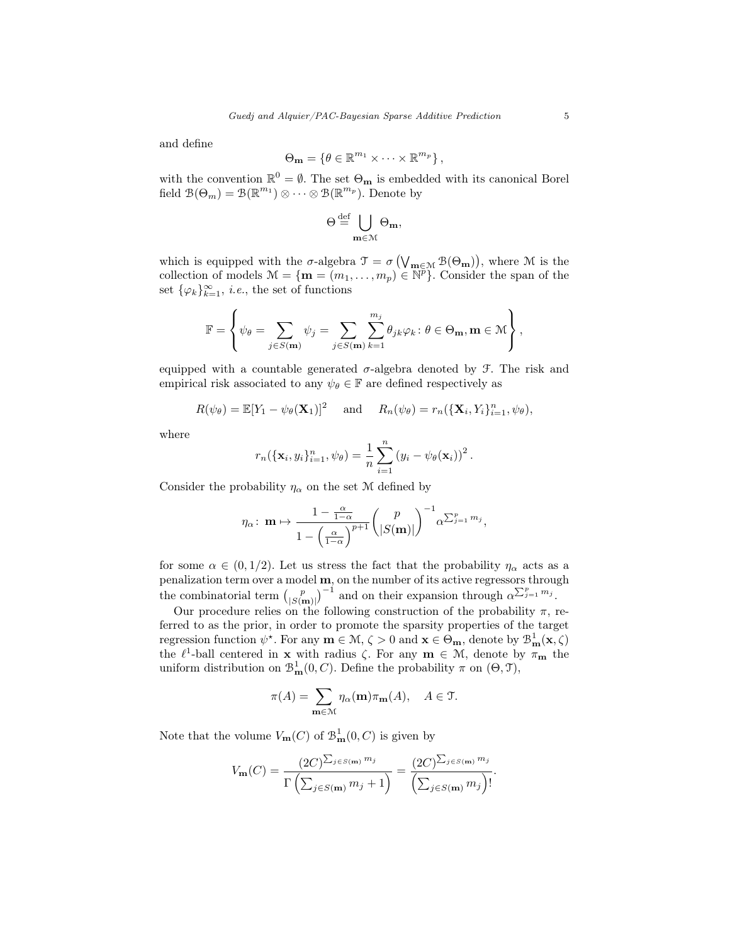and define

$$
\Theta_{\mathbf{m}} = \{ \theta \in \mathbb{R}^{m_1} \times \cdots \times \mathbb{R}^{m_p} \},
$$

with the convention  $\mathbb{R}^0 = \emptyset$ . The set  $\Theta_{\mathbf{m}}$  is embedded with its canonical Borel field  $\mathcal{B}(\Theta_m) = \mathcal{B}(\mathbb{R}^{m_1}) \otimes \cdots \otimes \mathcal{B}(\mathbb{R}^{m_p})$ . Denote by

$$
\Theta \mathbin{\stackrel{\rm def}{=}} \bigcup_{\mathbf{m} \in \mathcal{M}} \Theta_{\mathbf{m}},
$$

which is equipped with the  $\sigma$ -algebra  $\mathcal{T} = \sigma \left(\bigvee_{\mathbf{m} \in \mathcal{M}} \mathcal{B}(\Theta_{\mathbf{m}})\right)$ , where  $\mathcal M$  is the collection of models  $\mathcal{M} = \{ \mathbf{m} = (m_1, \dots, m_p) \in \mathbb{N}^p \}$ . Consider the span of the set  $\{\varphi_k\}_{k=1}^{\infty}$ , *i.e.*, the set of functions

$$
\mathbb{F} = \left\{ \psi_{\theta} = \sum_{j \in S(\mathbf{m})} \psi_j = \sum_{j \in S(\mathbf{m})} \sum_{k=1}^{m_j} \theta_{jk} \varphi_k : \theta \in \Theta_{\mathbf{m}}, \mathbf{m} \in \mathcal{M} \right\},\
$$

equipped with a countable generated  $\sigma$ -algebra denoted by  $\mathcal{F}$ . The risk and empirical risk associated to any  $\psi_{\theta} \in \mathbb{F}$  are defined respectively as

$$
R(\psi_{\theta}) = \mathbb{E}[Y_1 - \psi_{\theta}(\mathbf{X}_1)]^2 \quad \text{and} \quad R_n(\psi_{\theta}) = r_n(\{\mathbf{X}_i, Y_i\}_{i=1}^n, \psi_{\theta}),
$$

where

$$
r_n(\{\mathbf{x}_i, y_i\}_{i=1}^n, \psi_{\theta}) = \frac{1}{n} \sum_{i=1}^n (y_i - \psi_{\theta}(\mathbf{x}_i))^2.
$$

Consider the probability  $\eta_{\alpha}$  on the set M defined by

$$
\eta_{\alpha} \colon \mathbf{m} \mapsto \frac{1 - \frac{\alpha}{1 - \alpha}}{1 - \left(\frac{\alpha}{1 - \alpha}\right)^{p+1}} \binom{p}{|S(\mathbf{m})|}^{-1} \alpha^{\sum_{j=1}^{p} m_j},
$$

for some  $\alpha \in (0, 1/2)$ . Let us stress the fact that the probability  $\eta_{\alpha}$  acts as a penalization term over a model m, on the number of its active regressors through the combinatorial term  $\binom{p}{|S(m)|}^{-1}$  and on their expansion through  $\alpha^{\sum_{j=1}^{p}m_j}$ .

Our procedure relies on the following construction of the probability  $\pi$ , referred to as the prior, in order to promote the sparsity properties of the target regression function  $\psi^*$ . For any  $m \in M$ ,  $\zeta > 0$  and  $x \in \Theta_m$ , denote by  $\mathcal{B}^1_m(x, \zeta)$ the  $\ell^1$ -ball centered in **x** with radius  $\zeta$ . For any **m**  $\in \mathcal{M}$ , denote by  $\pi_{\mathbf{m}}$  the uniform distribution on  $\mathcal{B}_{\mathbf{m}}^1(0, C)$ . Define the probability  $\pi$  on  $(\Theta, \mathcal{I}),$ 

$$
\pi(A) = \sum_{\mathbf{m} \in \mathcal{M}} \eta_{\alpha}(\mathbf{m}) \pi_{\mathbf{m}}(A), \quad A \in \mathfrak{T}.
$$

Note that the volume  $V_{\mathbf{m}}(C)$  of  $\mathcal{B}_{\mathbf{m}}^1(0, C)$  is given by

$$
V_{\mathbf{m}}(C) = \frac{(2C)^{\sum_{j \in S(\mathbf{m})} m_j}}{\Gamma(\sum_{j \in S(\mathbf{m})} m_j + 1)} = \frac{(2C)^{\sum_{j \in S(\mathbf{m})} m_j}}{\left(\sum_{j \in S(\mathbf{m})} m_j\right)!}.
$$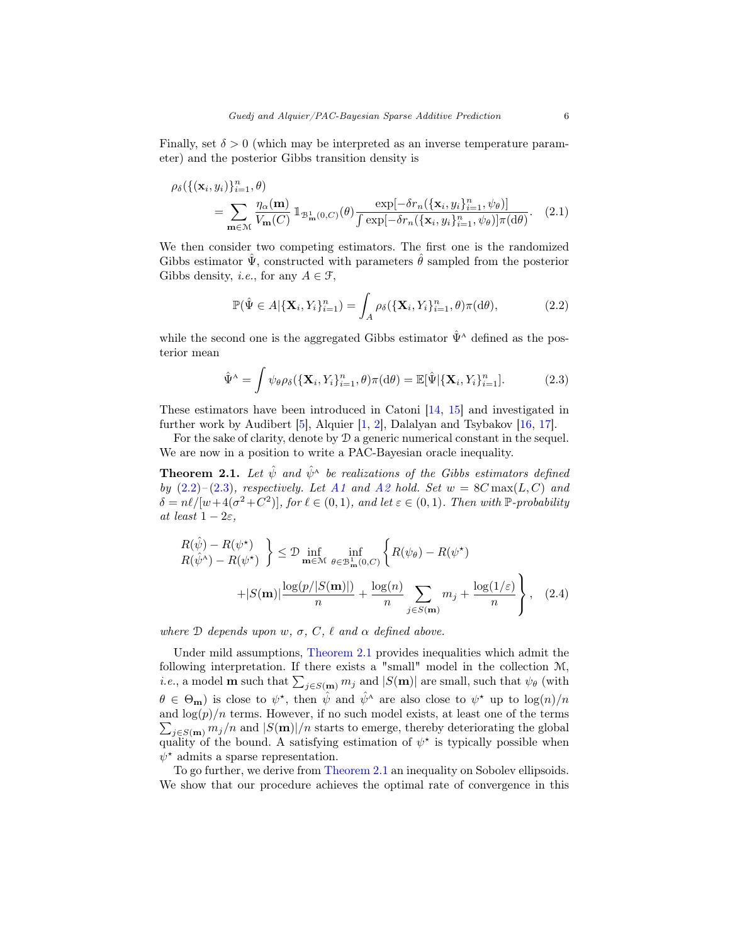Finally, set  $\delta > 0$  (which may be interpreted as an inverse temperature parameter) and the posterior Gibbs transition density is

$$
\rho_{\delta}(\{(\mathbf{x}_i, y_i)\}_{i=1}^n, \theta) = \sum_{\mathbf{m} \in \mathcal{M}} \frac{\eta_{\alpha}(\mathbf{m})}{V_{\mathbf{m}}(C)} \mathbb{1}_{\mathcal{B}_{\mathbf{m}}^1(0, C)}(\theta) \frac{\exp[-\delta r_n(\{\mathbf{x}_i, y_i\}_{i=1}^n, \psi_{\theta})]}{\int \exp[-\delta r_n(\{\mathbf{x}_i, y_i\}_{i=1}^n, \psi_{\theta})] \pi(\mathrm{d}\theta)}.
$$
 (2.1)

We then consider two competing estimators. The first one is the randomized Gibbs estimator  $\hat{\Psi}$ , constructed with parameters  $\hat{\theta}$  sampled from the posterior Gibbs density, *i.e.*, for any  $A \in \mathcal{F}$ ,

<span id="page-5-0"></span>
$$
\mathbb{P}(\hat{\Psi} \in A | \{\mathbf{X}_i, Y_i\}_{i=1}^n) = \int_A \rho_\delta(\{\mathbf{X}_i, Y_i\}_{i=1}^n, \theta) \pi(\mathrm{d}\theta),\tag{2.2}
$$

while the second one is the aggregated Gibbs estimator  $\hat{\Psi}^{\text{A}}$  defined as the posterior mean

<span id="page-5-1"></span>
$$
\hat{\Psi}^{\mathcal{A}} = \int \psi_{\theta} \rho_{\delta}(\{\mathbf{X}_i, Y_i\}_{i=1}^n, \theta) \pi(\mathrm{d}\theta) = \mathbb{E}[\hat{\Psi}|\{\mathbf{X}_i, Y_i\}_{i=1}^n]. \tag{2.3}
$$

These estimators have been introduced in Catoni [\[14,](#page-24-9) [15\]](#page-24-10) and investigated in further work by Audibert [\[5\]](#page-23-2), Alquier [\[1,](#page-23-4) [2\]](#page-23-5), Dalalyan and Tsybakov [\[16,](#page-24-12) [17\]](#page-24-13).

For the sake of clarity, denote by D a generic numerical constant in the sequel. We are now in a position to write a PAC-Bayesian oracle inequality.

<span id="page-5-2"></span>**Theorem 2.1.** Let  $\hat{\psi}$  and  $\hat{\psi}^{\text{A}}$  be realizations of the Gibbs estimators defined by  $(2.2)$ – $(2.3)$ , respectively. Let [A1](#page-3-1) and [A2](#page-3-2) hold. Set  $w = 8C \max(L, C)$  and  $\delta = n\ell/[w+4(\sigma^2+C^2)]$ , for  $\ell \in (0,1)$ , and let  $\varepsilon \in (0,1)$ . Then with P-probability at least  $1 - 2\varepsilon$ ,

$$
R(\hat{\psi}) - R(\psi^*) \quad R(\hat{\psi}^*) - R(\psi^*) \quad \text{and} \quad \inf_{m \in \mathcal{M}} \inf_{\theta \in \mathcal{B}^1_{m}(0, C)} \left\{ R(\psi_{\theta}) - R(\psi^*) \right\} + |S(m)| \frac{\log(p/|S(m)|)}{n} + \frac{\log(n)}{n} \sum_{j \in S(m)} m_j + \frac{\log(1/\varepsilon)}{n} \right\}, \quad (2.4)
$$

where  $\mathcal D$  depends upon w,  $\sigma$ ,  $C$ ,  $\ell$  and  $\alpha$  defined above.

Under mild assumptions, [Theorem 2.1](#page-5-2) provides inequalities which admit the following interpretation. If there exists a "small" model in the collection M, *i.e.*, a model **m** such that  $\sum_{j \in S(m)} m_j$  and  $|S(m)|$  are small, such that  $\psi_{\theta}$  (with  $\theta \in \Theta_{\mathbf{m}}$ ) is close to  $\psi^*$ , then  $\hat{\psi}$  and  $\hat{\psi}^{\mathbf{A}}$  are also close to  $\psi^*$  up to  $\log(n)/n$  $\sum_{j \in S(m)} m_j/n$  and  $|S(m)|/n$  starts to emerge, thereby deteriorating the global and  $\log(p)/n$  terms. However, if no such model exists, at least one of the terms quality of the bound. A satisfying estimation of  $\psi^*$  is typically possible when  $\psi^*$  admits a sparse representation.

To go further, we derive from [Theorem 2.1](#page-5-2) an inequality on Sobolev ellipsoids. We show that our procedure achieves the optimal rate of convergence in this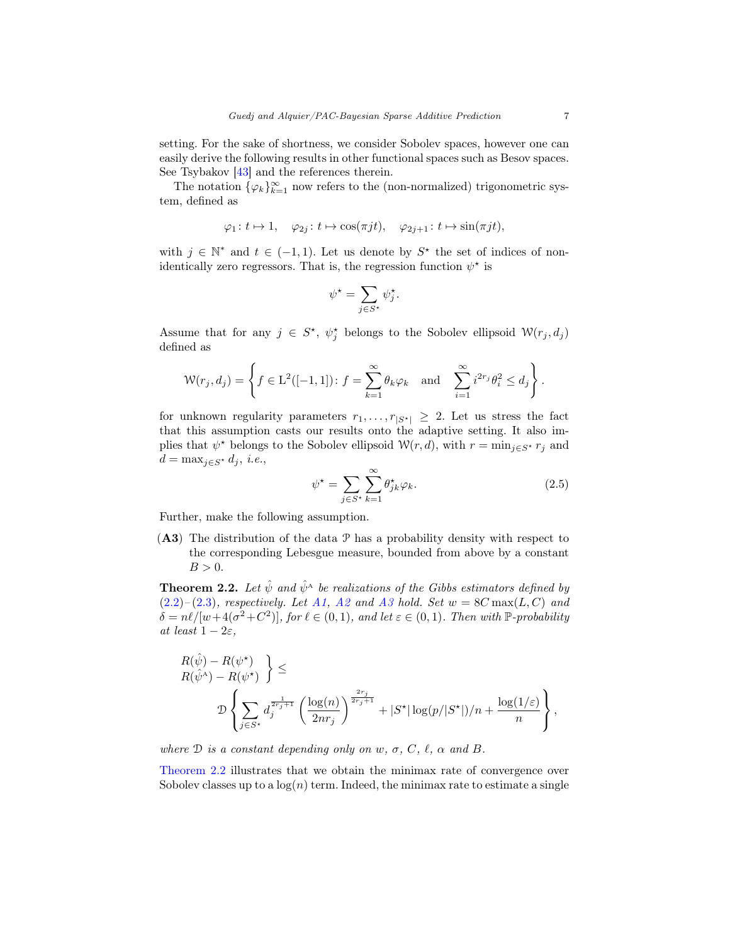setting. For the sake of shortness, we consider Sobolev spaces, however one can easily derive the following results in other functional spaces such as Besov spaces. See Tsybakov [\[43\]](#page-25-15) and the references therein.

The notation  $\{\varphi_k\}_{k=1}^{\infty}$  now refers to the (non-normalized) trigonometric system, defined as

$$
\varphi_1: t \mapsto 1, \quad \varphi_{2j}: t \mapsto \cos(\pi j t), \quad \varphi_{2j+1}: t \mapsto \sin(\pi j t),
$$

with  $j \in \mathbb{N}^*$  and  $t \in (-1,1)$ . Let us denote by  $S^*$  the set of indices of nonidentically zero regressors. That is, the regression function  $\psi^*$  is

$$
\psi^\star = \sum_{j \in S^\star} \psi^\star_j.
$$

Assume that for any  $j \in S^*$ ,  $\psi_j^*$  belongs to the Sobolev ellipsoid  $\mathcal{W}(r_j, d_j)$ defined as

$$
\mathcal{W}(r_j, d_j) = \left\{ f \in \mathcal{L}^2([-1, 1]) : f = \sum_{k=1}^{\infty} \theta_k \varphi_k \text{ and } \sum_{i=1}^{\infty} i^{2r_j} \theta_i^2 \le d_j \right\}.
$$

for unknown regularity parameters  $r_1, \ldots, r_{|S^*|} \geq 2$ . Let us stress the fact that this assumption casts our results onto the adaptive setting. It also implies that  $\psi^*$  belongs to the Sobolev ellipsoid  $\mathcal{W}(r,d)$ , with  $r = \min_{j \in S^*} r_j$  and  $d = \max_{j \in S^*} d_j$ , *i.e.*,

<span id="page-6-0"></span>
$$
\psi^* = \sum_{j \in S^*} \sum_{k=1}^{\infty} \theta_{jk}^* \varphi_k.
$$
 (2.5)

Further, make the following assumption.

(A3) The distribution of the data P has a probability density with respect to the corresponding Lebesgue measure, bounded from above by a constant  $B > 0$ .

<span id="page-6-1"></span>**Theorem 2.2.** Let  $\hat{\psi}$  and  $\hat{\psi}^{\text{A}}$  be realizations of the Gibbs estimators defined by  $(2.2)$ – $(2.3)$ , respectively. Let [A1,](#page-3-1) [A2](#page-3-2) and [A3](#page-6-0) hold. Set  $w = 8C \max(L, C)$  and  $\delta = n\ell/[w+4(\sigma^2+C^2)]$ , for  $\ell \in (0,1)$ , and let  $\varepsilon \in (0,1)$ . Then with P-probability at least  $1 - 2\varepsilon$ ,

$$
\label{eq:R} \begin{split} &R(\hat{\psi})-R(\psi^\star) \atop R(\hat{\psi}^\Lambda)-R(\psi^\star) \end{split} \Bigg\} \leq \\ & \mathcal{D} \left\{\sum_{j \in S^\star} d_j^{\frac{2\tau_j}{2\tau_j+1}} \left(\frac{\log(n)}{2nr_j}\right)^{\frac{2\tau_j}{2\tau_j+1}}+|S^\star|\log(p/|S^\star|)/n+\frac{\log(1/\varepsilon)}{n}\right\},
$$

where  $\mathcal D$  is a constant depending only on w,  $\sigma$ , C,  $\ell$ ,  $\alpha$  and B.

[Theorem 2.2](#page-6-1) illustrates that we obtain the minimax rate of convergence over Sobolev classes up to a  $log(n)$  term. Indeed, the minimax rate to estimate a single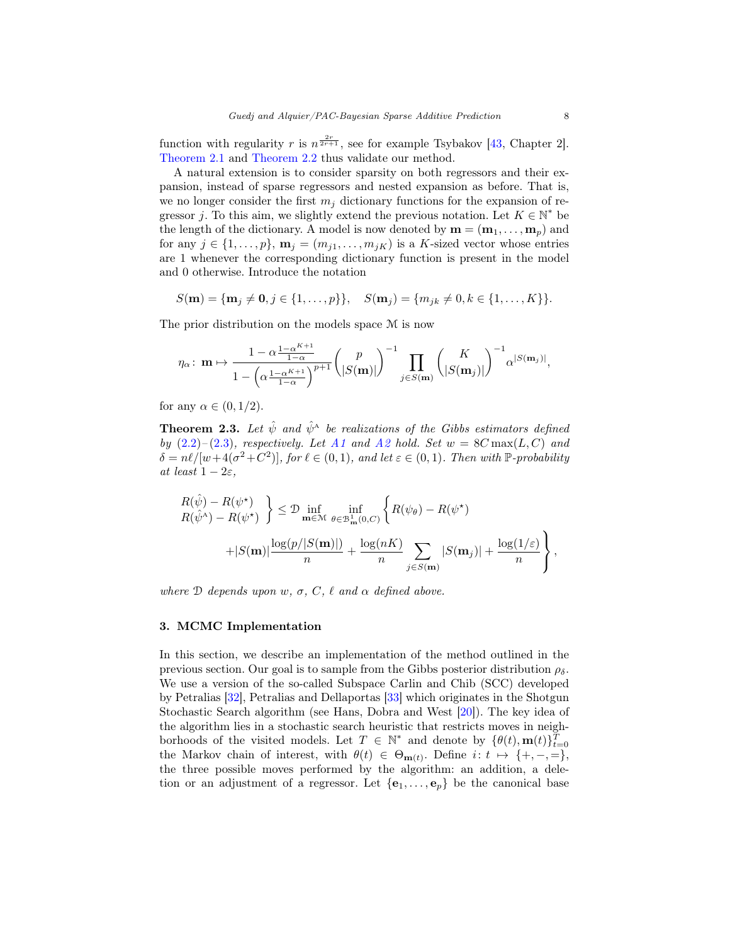function with regularity r is  $n^{\frac{2r}{2r+1}}$ , see for example Tsybakov [\[43,](#page-25-15) Chapter 2]. [Theorem 2.1](#page-5-2) and [Theorem 2.2](#page-6-1) thus validate our method.

A natural extension is to consider sparsity on both regressors and their expansion, instead of sparse regressors and nested expansion as before. That is, we no longer consider the first  $m_i$  dictionary functions for the expansion of regressor j. To this aim, we slightly extend the previous notation. Let  $K \in \mathbb{N}^*$  be the length of the dictionary. A model is now denoted by  $\mathbf{m} = (\mathbf{m}_1, \dots, \mathbf{m}_p)$  and for any  $j \in \{1, \ldots, p\}$ ,  $\mathbf{m}_j = (m_{j1}, \ldots, m_{jK})$  is a K-sized vector whose entries are 1 whenever the corresponding dictionary function is present in the model and 0 otherwise. Introduce the notation

$$
S(\mathbf{m}) = \{\mathbf{m}_j \neq \mathbf{0}, j \in \{1, \ldots, p\}\}, \quad S(\mathbf{m}_j) = \{m_{jk} \neq 0, k \in \{1, \ldots, K\}\}.
$$

The prior distribution on the models space M is now

$$
\eta_{\alpha} \colon \mathbf{m} \mapsto \frac{1 - \alpha^{\frac{1 - \alpha^{K+1}}{1 - \alpha}}}{1 - \left(\alpha^{\frac{1 - \alpha^{K+1}}{1 - \alpha}}\right)^{p+1}} \left(\frac{p}{|S(\mathbf{m})|}\right)^{-1} \prod_{j \in S(\mathbf{m})} \left(\frac{K}{|S(\mathbf{m}_j)|}\right)^{-1} \alpha^{|S(\mathbf{m}_j)|},
$$

for any  $\alpha \in (0, 1/2)$ .

<span id="page-7-1"></span>**Theorem 2.3.** Let  $\hat{\psi}$  and  $\hat{\psi}^{\text{A}}$  be realizations of the Gibbs estimators defined by  $(2.2)$ – $(2.3)$ , respectively. Let [A1](#page-3-1) and [A2](#page-3-2) hold. Set  $w = 8C \max(L, C)$  and  $\delta = n\ell/[w+4(\sigma^2+C^2)]$ , for  $\ell \in (0,1)$ , and let  $\varepsilon \in (0,1)$ . Then with P-probability at least  $1 - 2\varepsilon$ ,

$$
\begin{aligned} R(\hat{\psi}) - R(\psi^*) \\ R(\hat{\psi}^{\mathsf{A}}) - R(\psi^*) \end{aligned} \Big\} &\leq \mathcal{D} \inf_{\mathbf{m} \in \mathcal{M}} \inf_{\theta \in \mathcal{B}^1_{\mathbf{m}}(0,C)} \left\{ R(\psi_{\theta}) - R(\psi^*) \\ + |S(\mathbf{m})| \frac{\log(p/|S(\mathbf{m})|)}{n} + \frac{\log(nK)}{n} \sum_{j \in S(\mathbf{m})} |S(\mathbf{m}_j)| + \frac{\log(1/\varepsilon)}{n} \right\},
$$

where  $\mathcal D$  depends upon w,  $\sigma$ ,  $C$ ,  $\ell$  and  $\alpha$  defined above.

## <span id="page-7-0"></span>3. MCMC Implementation

In this section, we describe an implementation of the method outlined in the previous section. Our goal is to sample from the Gibbs posterior distribution  $\rho_{\delta}$ . We use a version of the so-called Subspace Carlin and Chib (SCC) developed by Petralias [\[32\]](#page-25-13), Petralias and Dellaportas [\[33\]](#page-25-14) which originates in the Shotgun Stochastic Search algorithm (see Hans, Dobra and West [\[20\]](#page-24-17)). The key idea of the algorithm lies in a stochastic search heuristic that restricts moves in neighborhoods of the visited models. Let  $T \in \mathbb{N}^*$  and denote by  $\{\theta(t), \mathbf{m}(t)\}_{t=0}^T$ the Markov chain of interest, with  $\theta(t) \in \Theta_{\mathbf{m}(t)}$ . Define  $i: t \mapsto \{+,-,=\},$ the three possible moves performed by the algorithm: an addition, a deletion or an adjustment of a regressor. Let  $\{e_1, \ldots, e_p\}$  be the canonical base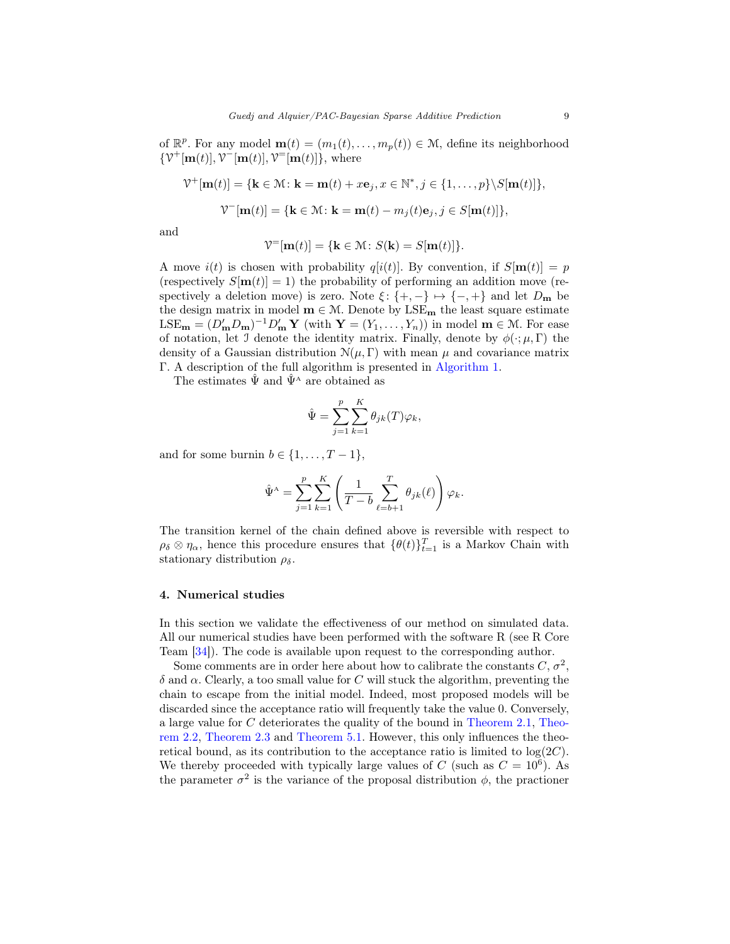of  $\mathbb{R}^p$ . For any model  $\mathbf{m}(t) = (m_1(t), \ldots, m_p(t)) \in \mathcal{M}$ , define its neighborhood  $\{\mathcal{V}^+[\mathbf{m}(t)], \mathcal{V}^-[\mathbf{m}(t)], \mathcal{V}^-[\mathbf{m}(t)]\},\$  where

$$
\mathcal{V}^+[\mathbf{m}(t)] = \{ \mathbf{k} \in \mathcal{M} \colon \mathbf{k} = \mathbf{m}(t) + x\mathbf{e}_j, x \in \mathbb{N}^*, j \in \{1, \dots, p\} \backslash S[\mathbf{m}(t)] \},
$$

$$
\mathcal{V}^-[\mathbf{m}(t)] = \{ \mathbf{k} \in \mathcal{M} \colon \mathbf{k} = \mathbf{m}(t) - m_j(t)\mathbf{e}_j, j \in S[\mathbf{m}(t)] \},
$$

and

$$
\mathcal{V}^=[\mathbf{m}(t)] = \{ \mathbf{k} \in \mathcal{M} \colon S(\mathbf{k}) = S[\mathbf{m}(t)] \}.
$$

A move  $i(t)$  is chosen with probability  $q[i(t)]$ . By convention, if  $S[\mathbf{m}(t)] = p$ (respectively  $S[\mathbf{m}(t)] = 1$ ) the probability of performing an addition move (respectively a deletion move) is zero. Note  $\xi$ : {+, -}  $\mapsto$  {-, +} and let  $D_m$  be the design matrix in model  $m \in \mathcal{M}$ . Denote by LSE<sub>m</sub> the least square estimate  $\text{LSE}_{\mathbf{m}} = (D'_{\mathbf{m}}D_{\mathbf{m}})^{-1}D'_{\mathbf{m}} \mathbf{Y}$  (with  $\mathbf{Y} = (Y_1, \ldots, Y_n)$ ) in model  $\mathbf{m} \in \mathcal{M}$ . For ease of notation, let J denote the identity matrix. Finally, denote by  $\phi(\cdot;\mu,\Gamma)$  the density of a Gaussian distribution  $\mathcal{N}(\mu, \Gamma)$  with mean  $\mu$  and covariance matrix Γ. A description of the full algorithm is presented in [Algorithm 1.](#page-9-0)

The estimates  $\hat{\Psi}$  and  $\hat{\Psi}^A$  are obtained as

$$
\hat{\Psi} = \sum_{j=1}^p \sum_{k=1}^K \theta_{jk}(T) \varphi_k,
$$

and for some burnin  $b \in \{1, \ldots, T-1\},\$ 

$$
\hat{\Psi}^{\mathbf{A}} = \sum_{j=1}^{p} \sum_{k=1}^{K} \left( \frac{1}{T-b} \sum_{\ell=b+1}^{T} \theta_{jk}(\ell) \right) \varphi_{k}.
$$

The transition kernel of the chain defined above is reversible with respect to  $\rho_{\delta} \otimes \eta_{\alpha}$ , hence this procedure ensures that  $\{\theta(t)\}_{t=1}^T$  is a Markov Chain with stationary distribution  $\rho_{\delta}$ .

## <span id="page-8-0"></span>4. Numerical studies

In this section we validate the effectiveness of our method on simulated data. All our numerical studies have been performed with the software R (see R Core Team [\[34\]](#page-25-16)). The code is available upon request to the corresponding author.

Some comments are in order here about how to calibrate the constants  $C, \sigma^2$ , δ and α. Clearly, a too small value for C will stuck the algorithm, preventing the chain to escape from the initial model. Indeed, most proposed models will be discarded since the acceptance ratio will frequently take the value 0. Conversely, a large value for C deteriorates the quality of the bound in [Theorem 2.1,](#page-5-2) [Theo](#page-6-1)[rem 2.2,](#page-6-1) [Theorem 2.3](#page-7-1) and [Theorem 5.1.](#page-17-0) However, this only influences the theoretical bound, as its contribution to the acceptance ratio is limited to  $log(2C)$ . We thereby proceeded with typically large values of C (such as  $C = 10^6$ ). As the parameter  $\sigma^2$  is the variance of the proposal distribution  $\phi$ , the practioner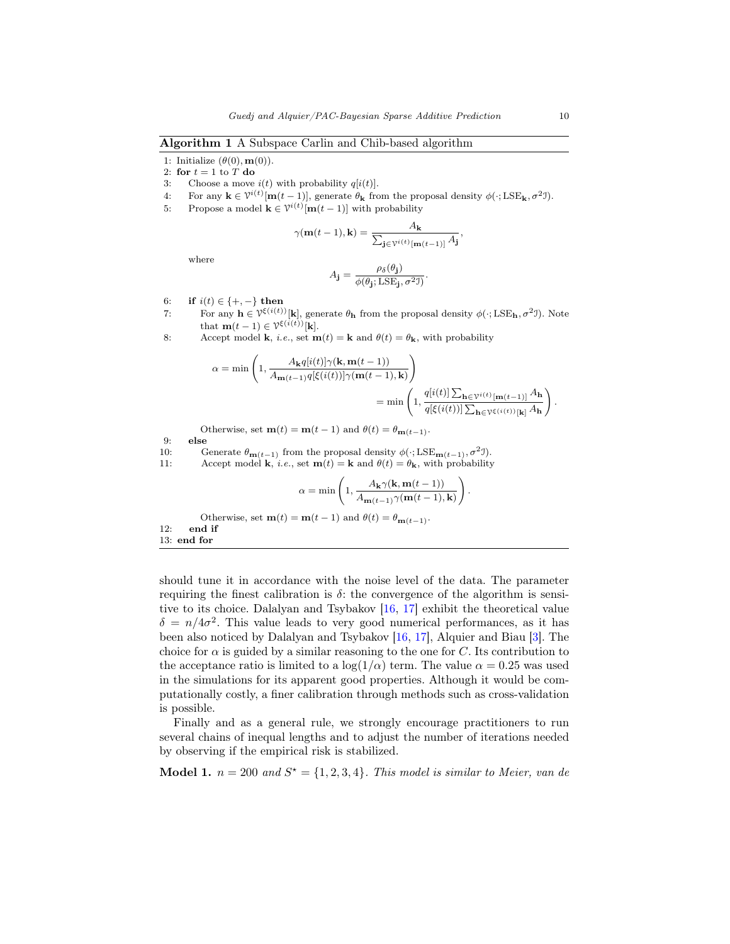<span id="page-9-0"></span>Algorithm 1 A Subspace Carlin and Chib-based algorithm

- 1: Initialize  $(\theta(0), \mathbf{m}(0))$ .
- 2: for  $t = 1$  to  $T$  do
- 3: Choose a move  $i(t)$  with probability  $q[i(t)]$ .
- 4: For any  $\mathbf{k} \in \mathcal{V}^{i(t)}[\mathbf{m}(t-1)]$ , generate  $\theta_{\mathbf{k}}$  from the proposal density  $\phi(\cdot; \text{LSE}_{\mathbf{k}}, \sigma^2 \mathcal{I})$ .
- 5: Propose a model  $\mathbf{k} \in \mathcal{V}^{i(t)}[\mathbf{m}(t-1)]$  with probability

$$
\gamma(\mathbf{m}(t-1), \mathbf{k}) = \frac{A_{\mathbf{k}}}{\sum_{\mathbf{j} \in \mathcal{V}^{i(t)}[\mathbf{m}(t-1)]} A_{\mathbf{j}}},
$$

where

$$
A_{\mathbf{j}} = \frac{\rho_{\delta}(\theta_{\mathbf{j}})}{\phi(\theta_{\mathbf{j}}; \text{LSE}_{\mathbf{j}}, \sigma^2 \mathbf{I})}.
$$

- 6: if  $i(t) \in \{+, -\}$  then
- 7: For any  $h \in \mathcal{V}^{\xi(i(t))}[k]$ , generate  $\theta_h$  from the proposal density  $\phi(\cdot; LSE_h, \sigma^2 J)$ . Note that  $\mathbf{m}(t-1) \in \mathcal{V}^{\xi(i(t))}[\mathbf{k}].$
- 8: Accept model **k**, *i.e.*, set **m**(*t*) = **k** and  $\theta(t) = \theta_{\mathbf{k}}$ , with probability

$$
\alpha = \min\left(1, \frac{A_{\mathbf{k}}q[i(t)]\gamma(\mathbf{k}, \mathbf{m}(t-1))}{A_{\mathbf{m}(t-1)}q[\xi(i(t))] \gamma(\mathbf{m}(t-1), \mathbf{k})}\right)
$$

$$
= \min\left(1, \frac{q[i(t)]\sum_{\mathbf{h}\in\mathcal{V}^{i(t)}[\mathbf{m}(t-1)]}A_{\mathbf{h}}}{q[\xi(i(t))] \sum_{\mathbf{h}\in\mathcal{V}^{\xi(i(t))}[\mathbf{k}]}A_{\mathbf{h}}}\right)
$$

Otherwise, set  $\mathbf{m}(t) = \mathbf{m}(t-1)$  and  $\theta(t) = \theta_{\mathbf{m}(t-1)}$ .

9: else

- 10: Generate  $\theta_{\mathbf{m}(t-1)}$  from the proposal density  $\phi(\cdot; \text{LSE}_{\mathbf{m}(t-1)}, \sigma^2 \mathcal{I}).$
- 11: Accept model **k**, *i.e.*, set **m**(*t*) = **k** and  $\theta(t) = \theta_k$ , with probability

$$
\alpha = \min\left(1, \frac{A_{\mathbf{k}}\gamma(\mathbf{k}, \mathbf{m}(t-1))}{A_{\mathbf{m}(t-1)}\gamma(\mathbf{m}(t-1), \mathbf{k})}\right)
$$

.

Otherwise, set  $\mathbf{m}(t) = \mathbf{m}(t-1)$  and  $\theta(t) = \theta_{\mathbf{m}(t-1)}$ . 12: end if

13: end for

should tune it in accordance with the noise level of the data. The parameter requiring the finest calibration is  $\delta$ : the convergence of the algorithm is sensitive to its choice. Dalalyan and Tsybakov [\[16,](#page-24-12) [17\]](#page-24-13) exhibit the theoretical value  $\delta = n/4\sigma^2$ . This value leads to very good numerical performances, as it has been also noticed by Dalalyan and Tsybakov [\[16,](#page-24-12) [17\]](#page-24-13), Alquier and Biau [\[3\]](#page-23-9). The choice for  $\alpha$  is guided by a similar reasoning to the one for C. Its contribution to the acceptance ratio is limited to a  $log(1/\alpha)$  term. The value  $\alpha = 0.25$  was used in the simulations for its apparent good properties. Although it would be computationally costly, a finer calibration through methods such as cross-validation is possible.

Finally and as a general rule, we strongly encourage practitioners to run several chains of inequal lengths and to adjust the number of iterations needed by observing if the empirical risk is stabilized.

<span id="page-9-1"></span>**Model 1.**  $n = 200$  and  $S^* = \{1, 2, 3, 4\}$ . This model is similar to Meier, van de

.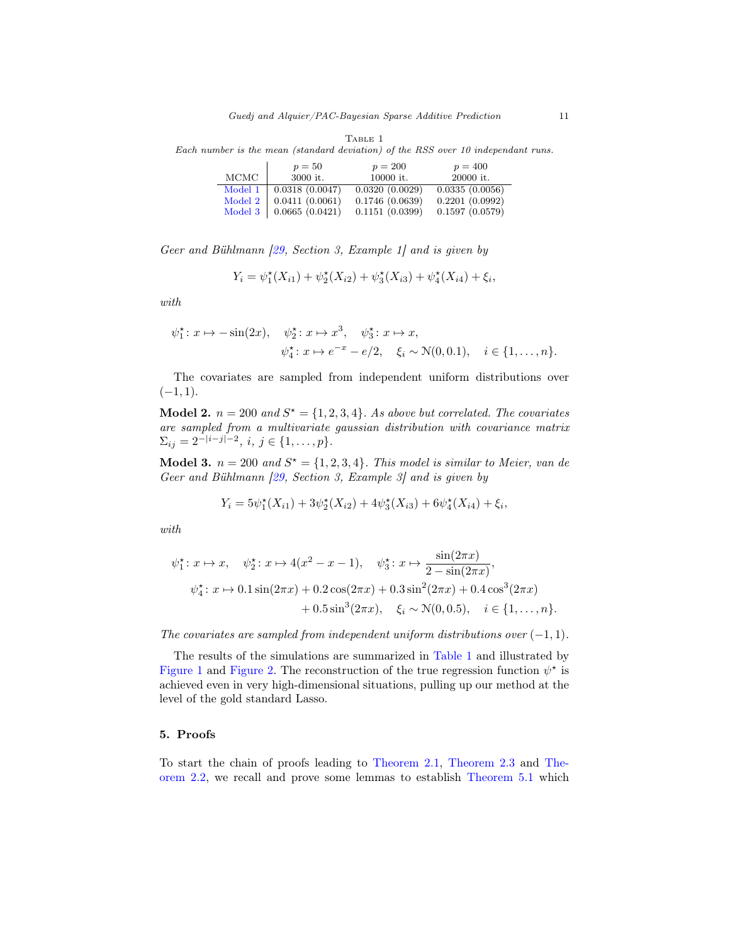|         | $p=50$         | $p = 200$      | $p = 400$          |
|---------|----------------|----------------|--------------------|
| MCMC    | 3000 it.       | 10000 it.      | 20000 it.          |
| Model 1 | 0.0318(0.0047) | 0.0320(0.0029) | $0.0335\ (0.0056)$ |
| Model 2 | 0.0411(0.0061) | 0.1746(0.0639) | 0.2201(0.0992)     |
| Model 3 | 0.0665(0.0421) | 0.1151(0.0399) | 0.1597(0.0579)     |
|         |                |                |                    |

<span id="page-10-3"></span>TABLE 1 Each number is the mean (standard deviation) of the RSS over 10 independant runs.

Geer and Bühlmann [\[29,](#page-25-4) Section 3, Example 1] and is given by

$$
Y_i = \psi_1^*(X_{i1}) + \psi_2^*(X_{i2}) + \psi_3^*(X_{i3}) + \psi_4^*(X_{i4}) + \xi_i,
$$

with

$$
\psi_1^* \colon x \mapsto -\sin(2x), \quad \psi_2^* \colon x \mapsto x^3, \quad \psi_3^* \colon x \mapsto x,
$$
  
 $\psi_4^* \colon x \mapsto e^{-x} - e/2, \quad \xi_i \sim \mathcal{N}(0, 0.1), \quad i \in \{1, ..., n\}.$ 

The covariates are sampled from independent uniform distributions over  $(-1, 1).$ 

<span id="page-10-1"></span>**Model 2.**  $n = 200$  and  $S^* = \{1, 2, 3, 4\}$ . As above but correlated. The covariates are sampled from a multivariate gaussian distribution with covariance matrix  $\Sigma_{ij} = 2^{-|i-j|-2}, i, j \in \{1, \ldots, p\}.$ 

<span id="page-10-2"></span>**Model 3.**  $n = 200$  and  $S^* = \{1, 2, 3, 4\}$ . This model is similar to Meier, van de Geer and Bühlmann  $[29, Section 3, Example 3]$  $[29, Section 3, Example 3]$  and is given by

$$
Y_i = 5\psi_1^*(X_{i1}) + 3\psi_2^*(X_{i2}) + 4\psi_3^*(X_{i3}) + 6\psi_4^*(X_{i4}) + \xi_i,
$$

with

$$
\psi_1^* : x \mapsto x, \quad \psi_2^* : x \mapsto 4(x^2 - x - 1), \quad \psi_3^* : x \mapsto \frac{\sin(2\pi x)}{2 - \sin(2\pi x)},
$$

$$
\psi_4^* : x \mapsto 0.1 \sin(2\pi x) + 0.2 \cos(2\pi x) + 0.3 \sin^2(2\pi x) + 0.4 \cos^3(2\pi x) + 0.5 \sin^3(2\pi x), \quad \xi_i \sim \mathcal{N}(0, 0.5), \quad i \in \{1, \dots, n\}.
$$

The covariates are sampled from independent uniform distributions over  $(-1, 1)$ .

The results of the simulations are summarized in [Table 1](#page-10-3) and illustrated by [Figure 1](#page-11-0) and [Figure 2.](#page-13-0) The reconstruction of the true regression function  $\psi^*$  is achieved even in very high-dimensional situations, pulling up our method at the level of the gold standard Lasso.

## <span id="page-10-0"></span>5. Proofs

To start the chain of proofs leading to [Theorem 2.1,](#page-5-2) [Theorem 2.3](#page-7-1) and [The](#page-6-1)[orem 2.2,](#page-6-1) we recall and prove some lemmas to establish [Theorem 5.1](#page-17-0) which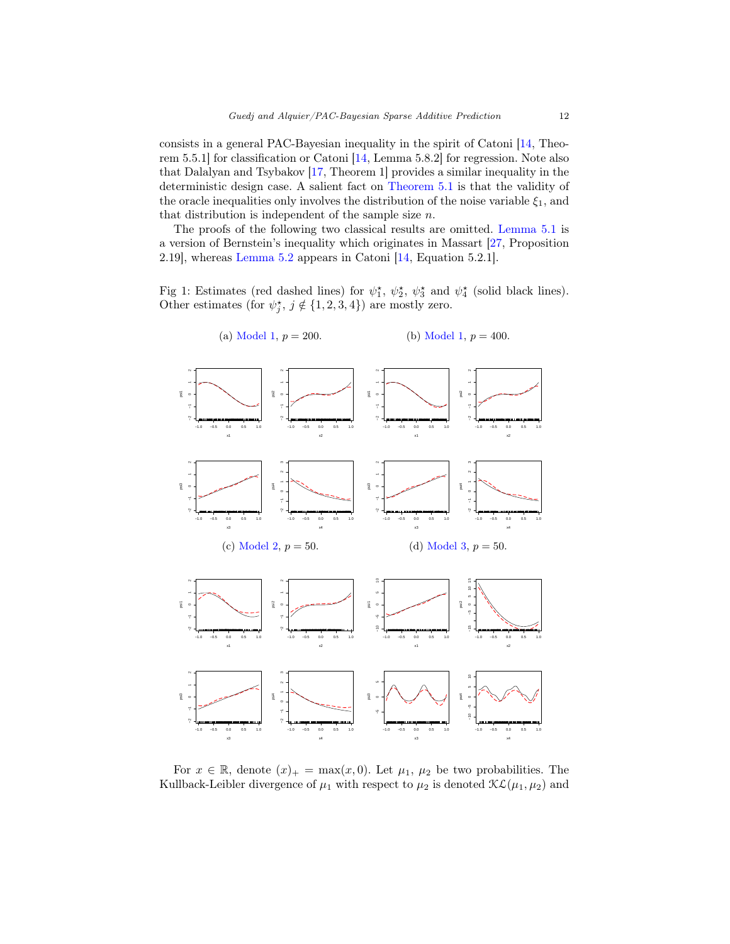consists in a general PAC-Bayesian inequality in the spirit of Catoni [\[14,](#page-24-9) Theorem 5.5.1] for classification or Catoni [\[14,](#page-24-9) Lemma 5.8.2] for regression. Note also that Dalalyan and Tsybakov [\[17,](#page-24-13) Theorem 1] provides a similar inequality in the deterministic design case. A salient fact on [Theorem 5.1](#page-17-0) is that the validity of the oracle inequalities only involves the distribution of the noise variable  $\xi_1$ , and that distribution is independent of the sample size  $n$ .

The proofs of the following two classical results are omitted. [Lemma 5.1](#page-12-0) is a version of Bernstein's inequality which originates in Massart [\[27,](#page-25-17) Proposition 2.19], whereas [Lemma 5.2](#page-12-1) appears in Catoni [\[14,](#page-24-9) Equation 5.2.1].

<span id="page-11-0"></span>Fig 1: Estimates (red dashed lines) for  $\psi_1^*, \psi_2^*, \psi_3^*$  and  $\psi_4^*$  (solid black lines). Other estimates (for  $\psi_j^*, j \notin \{1, 2, 3, 4\}$ ) are mostly zero.



For  $x \in \mathbb{R}$ , denote  $(x)_+ = \max(x, 0)$ . Let  $\mu_1$ ,  $\mu_2$  be two probabilities. The Kullback-Leibler divergence of  $\mu_1$  with respect to  $\mu_2$  is denoted  $\mathcal{KL}(\mu_1, \mu_2)$  and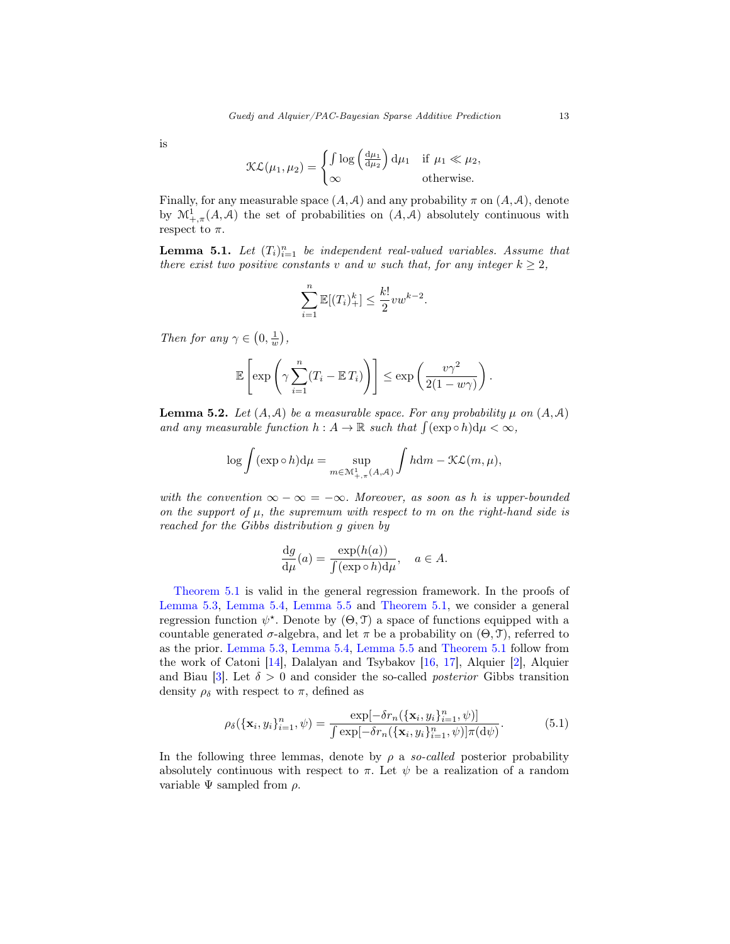is

$$
\mathcal{KL}(\mu_1, \mu_2) = \begin{cases} \int \log \left( \frac{d\mu_1}{d\mu_2} \right) d\mu_1 & \text{if } \mu_1 \ll \mu_2, \\ \infty & \text{otherwise.} \end{cases}
$$

Finally, for any measurable space  $(A, \mathcal{A})$  and any probability  $\pi$  on  $(A, \mathcal{A})$ , denote by  $\mathcal{M}^1_{+,\pi}(A,\mathcal{A})$  the set of probabilities on  $(A,\mathcal{A})$  absolutely continuous with respect to  $\pi$ .

<span id="page-12-0"></span>**Lemma 5.1.** Let  $(T_i)_{i=1}^n$  be independent real-valued variables. Assume that there exist two positive constants v and w such that, for any integer  $k \geq 2$ ,

$$
\sum_{i=1}^n \mathbb{E}[(T_i)^k_+] \le \frac{k!}{2}vw^{k-2}.
$$

Then for any  $\gamma \in (0, \frac{1}{w}),$ 

$$
\mathbb{E}\left[\exp\left(\gamma\sum_{i=1}^n(T_i - \mathbb{E} T_i)\right)\right] \le \exp\left(\frac{v\gamma^2}{2(1 - w\gamma)}\right).
$$

<span id="page-12-1"></span>**Lemma 5.2.** Let  $(A, \mathcal{A})$  be a measurable space. For any probability  $\mu$  on  $(A, \mathcal{A})$ and any measurable function  $h: A \to \mathbb{R}$  such that  $\int (\exp \circ h) d\mu < \infty$ ,

$$
\log \int (\exp \circ h) d\mu = \sup_{m \in \mathcal{M}^1_{+, \pi}(A, \mathcal{A})} \int h dm - \mathcal{KL}(m, \mu),
$$

with the convention  $\infty - \infty = -\infty$ . Moreover, as soon as h is upper-bounded on the support of  $\mu$ , the supremum with respect to m on the right-hand side is reached for the Gibbs distribution g given by

$$
\frac{\mathrm{d}g}{\mathrm{d}\mu}(a) = \frac{\exp(h(a))}{\int (\exp \circ h) \mathrm{d}\mu}, \quad a \in A.
$$

[Theorem 5.1](#page-17-0) is valid in the general regression framework. In the proofs of [Lemma 5.3,](#page-13-1) [Lemma 5.4,](#page-16-0) [Lemma 5.5](#page-17-1) and [Theorem 5.1,](#page-17-0) we consider a general regression function  $\psi^*$ . Denote by  $(\Theta, \mathcal{T})$  a space of functions equipped with a countable generated  $\sigma$ -algebra, and let  $\pi$  be a probability on  $(\Theta, \mathcal{T})$ , referred to as the prior. [Lemma 5.3,](#page-13-1) [Lemma 5.4,](#page-16-0) [Lemma 5.5](#page-17-1) and [Theorem 5.1](#page-17-0) follow from the work of Catoni [\[14\]](#page-24-9), Dalalyan and Tsybakov [\[16,](#page-24-12) [17\]](#page-24-13), Alquier [\[2\]](#page-23-5), Alquier and Biau [\[3\]](#page-23-9). Let  $\delta > 0$  and consider the so-called *posterior* Gibbs transition density  $\rho_{\delta}$  with respect to  $\pi$ , defined as

<span id="page-12-2"></span>
$$
\rho_{\delta}(\{\mathbf{x}_i, y_i\}_{i=1}^n, \psi) = \frac{\exp[-\delta r_n(\{\mathbf{x}_i, y_i\}_{i=1}^n, \psi)]}{\int \exp[-\delta r_n(\{\mathbf{x}_i, y_i\}_{i=1}^n, \psi)]\pi(\mathrm{d}\psi)}.
$$
(5.1)

In the following three lemmas, denote by  $\rho$  a so-called posterior probability absolutely continuous with respect to  $\pi$ . Let  $\psi$  be a realization of a random variable  $\Psi$  sampled from  $\rho$ .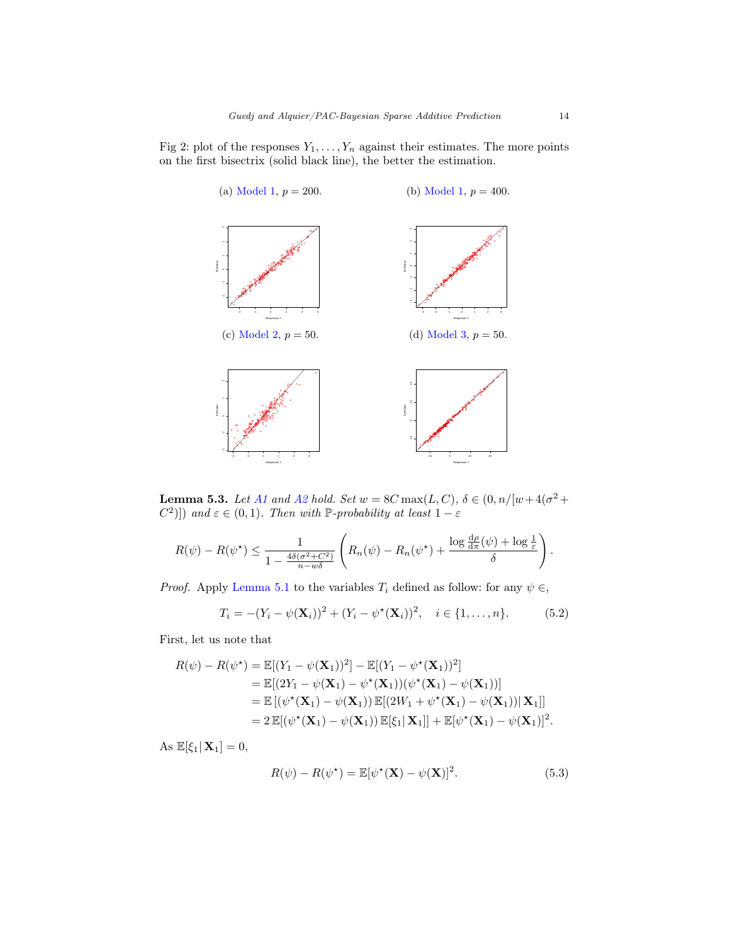<span id="page-13-0"></span>Fig 2: plot of the responses  $Y_1, \ldots, Y_n$  against their estimates. The more points on the first bisectrix (solid black line), the better the estimation.



<span id="page-13-1"></span>**Lemma 5.3.** Let [A1](#page-3-1) and [A2](#page-3-2) hold. Set  $w = 8C \max(L, C)$ ,  $\delta \in (0, n/[w+4(\sigma^2 +$ C<sup>2</sup>)]) and  $\varepsilon \in (0,1)$ . Then with P-probability at least  $1 - \varepsilon$ 

$$
R(\psi) - R(\psi^{\star}) \leq \frac{1}{1 - \frac{4\delta(\sigma^2 + C^2)}{n - w\delta}} \left( R_n(\psi) - R_n(\psi^{\star}) + \frac{\log \frac{d\rho}{d\pi}(\psi) + \log \frac{1}{\varepsilon}}{\delta} \right).
$$

*Proof.* Apply [Lemma 5.1](#page-12-0) to the variables  $T_i$  defined as follow: for any  $\psi \in$ ,

<span id="page-13-2"></span>
$$
T_i = -(Y_i - \psi(\mathbf{X}_i))^2 + (Y_i - \psi^*(\mathbf{X}_i))^2, \quad i \in \{1, ..., n\}.
$$
 (5.2)

First, let us note that

$$
R(\psi) - R(\psi^*) = \mathbb{E}[(Y_1 - \psi(\mathbf{X}_1))^2] - \mathbb{E}[(Y_1 - \psi^*(\mathbf{X}_1))^2]
$$
  
\n
$$
= \mathbb{E}[(2Y_1 - \psi(\mathbf{X}_1) - \psi^*(\mathbf{X}_1))(\psi^*(\mathbf{X}_1) - \psi(\mathbf{X}_1))]
$$
  
\n
$$
= \mathbb{E}[(\psi^*(\mathbf{X}_1) - \psi(\mathbf{X}_1))\mathbb{E}[(2W_1 + \psi^*(\mathbf{X}_1) - \psi(\mathbf{X}_1))|\mathbf{X}_1]]
$$
  
\n
$$
= 2 \mathbb{E}[(\psi^*(\mathbf{X}_1) - \psi(\mathbf{X}_1))\mathbb{E}[\xi_1|\mathbf{X}_1]] + \mathbb{E}[\psi^*(\mathbf{X}_1) - \psi(\mathbf{X}_1)]^2.
$$

As  $\mathbb{E}[\xi_1|\mathbf{X}_1]=0,$ 

<span id="page-13-3"></span>
$$
R(\psi) - R(\psi^*) = \mathbb{E}[\psi^*(\mathbf{X}) - \psi(\mathbf{X})]^2.
$$
\n(5.3)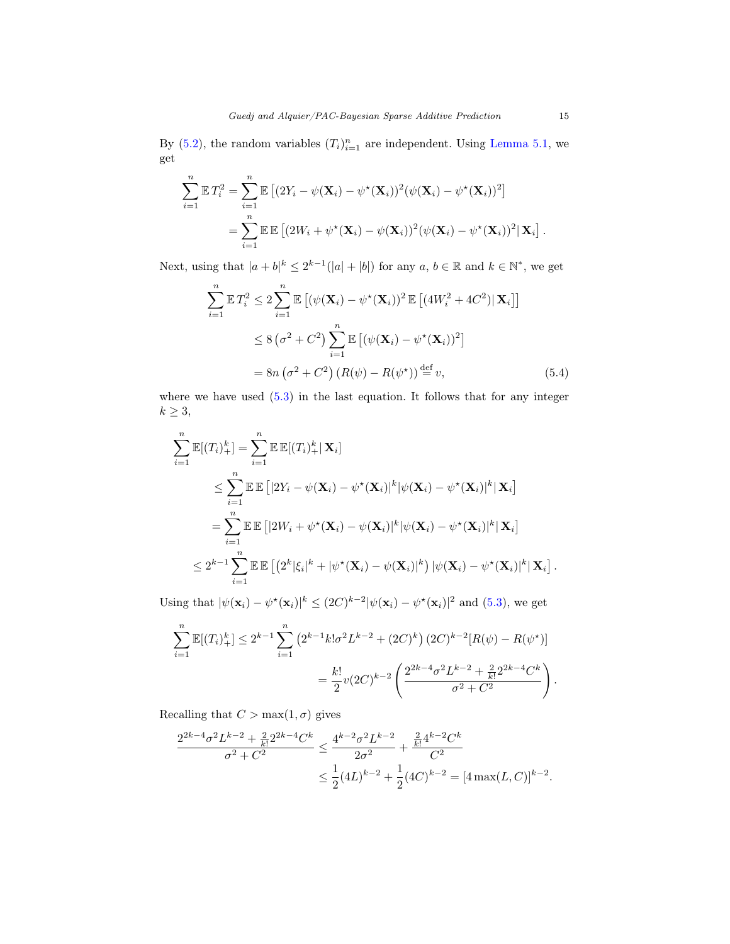By [\(5.2\)](#page-13-2), the random variables  $(T_i)_{i=1}^n$  are independent. Using [Lemma 5.1,](#page-12-0) we get

$$
\sum_{i=1}^{n} \mathbb{E} T_i^2 = \sum_{i=1}^{n} \mathbb{E} \left[ (2Y_i - \psi(\mathbf{X}_i) - \psi^*(\mathbf{X}_i))^2 (\psi(\mathbf{X}_i) - \psi^*(\mathbf{X}_i))^2 \right]
$$
  
= 
$$
\sum_{i=1}^{n} \mathbb{E} \mathbb{E} \left[ (2W_i + \psi^*(\mathbf{X}_i) - \psi(\mathbf{X}_i))^2 (\psi(\mathbf{X}_i) - \psi^*(\mathbf{X}_i))^2 (\mathbf{X}_i) \right].
$$

Next, using that  $|a+b|^k \leq 2^{k-1}(|a|+|b|)$  for any  $a, b \in \mathbb{R}$  and  $k \in \mathbb{N}^*$ , we get

$$
\sum_{i=1}^{n} \mathbb{E} T_i^2 \le 2 \sum_{i=1}^{n} \mathbb{E} \left[ (\psi(\mathbf{X}_i) - \psi^*(\mathbf{X}_i))^2 \mathbb{E} \left[ (4W_i^2 + 4C^2) | \mathbf{X}_i \right] \right]
$$
  
\n
$$
\le 8 \left( \sigma^2 + C^2 \right) \sum_{i=1}^{n} \mathbb{E} \left[ (\psi(\mathbf{X}_i) - \psi^*(\mathbf{X}_i))^2 \right]
$$
  
\n
$$
= 8n \left( \sigma^2 + C^2 \right) \left( R(\psi) - R(\psi^*) \right) \stackrel{\text{def}}{=} v,
$$
 (5.4)

where we have used  $(5.3)$  in the last equation. It follows that for any integer  $k \geq 3$ ,

$$
\sum_{i=1}^{n} \mathbb{E}[(T_i)^k_+] = \sum_{i=1}^{n} \mathbb{E} \mathbb{E}[(T_i)^k_+ | \mathbf{X}_i]
$$
\n
$$
\leq \sum_{i=1}^{n} \mathbb{E} \mathbb{E} [2Y_i - \psi(\mathbf{X}_i) - \psi^*(\mathbf{X}_i)|^k |\psi(\mathbf{X}_i) - \psi^*(\mathbf{X}_i)|^k |\mathbf{X}_i]
$$
\n
$$
= \sum_{i=1}^{n} \mathbb{E} \mathbb{E} [2W_i + \psi^*(\mathbf{X}_i) - \psi(\mathbf{X}_i)|^k |\psi(\mathbf{X}_i) - \psi^*(\mathbf{X}_i)|^k |\mathbf{X}_i]
$$
\n
$$
\leq 2^{k-1} \sum_{i=1}^{n} \mathbb{E} \mathbb{E} [2^k |\xi_i|^k + |\psi^*(\mathbf{X}_i) - \psi(\mathbf{X}_i)|^k |\psi(\mathbf{X}_i) - \psi^*(\mathbf{X}_i)|^k |\mathbf{X}_i].
$$

Using that  $|\psi(\mathbf{x}_i) - \psi^*(\mathbf{x}_i)|^k \leq (2C)^{k-2} |\psi(\mathbf{x}_i) - \psi^*(\mathbf{x}_i)|^2$  and [\(5.3\)](#page-13-3), we get

$$
\sum_{i=1}^{n} \mathbb{E}[(T_i)^k_+] \le 2^{k-1} \sum_{i=1}^{n} \left(2^{k-1} k! \sigma^2 L^{k-2} + (2C)^k\right) (2C)^{k-2} [R(\psi) - R(\psi^*)]
$$

$$
= \frac{k!}{2} v (2C)^{k-2} \left(\frac{2^{2k-4} \sigma^2 L^{k-2} + \frac{2}{k!} 2^{2k-4} C^k}{\sigma^2 + C^2}\right).
$$

Recalling that  $C > \max(1, \sigma)$  gives

$$
\frac{2^{2k-4}\sigma^2 L^{k-2} + \frac{2}{k!}2^{2k-4}C^k}{\sigma^2 + C^2} \le \frac{4^{k-2}\sigma^2 L^{k-2}}{2\sigma^2} + \frac{\frac{2}{k!}4^{k-2}C^k}{C^2}
$$

$$
\le \frac{1}{2}(4L)^{k-2} + \frac{1}{2}(4C)^{k-2} = [4\max(L, C)]^{k-2}.
$$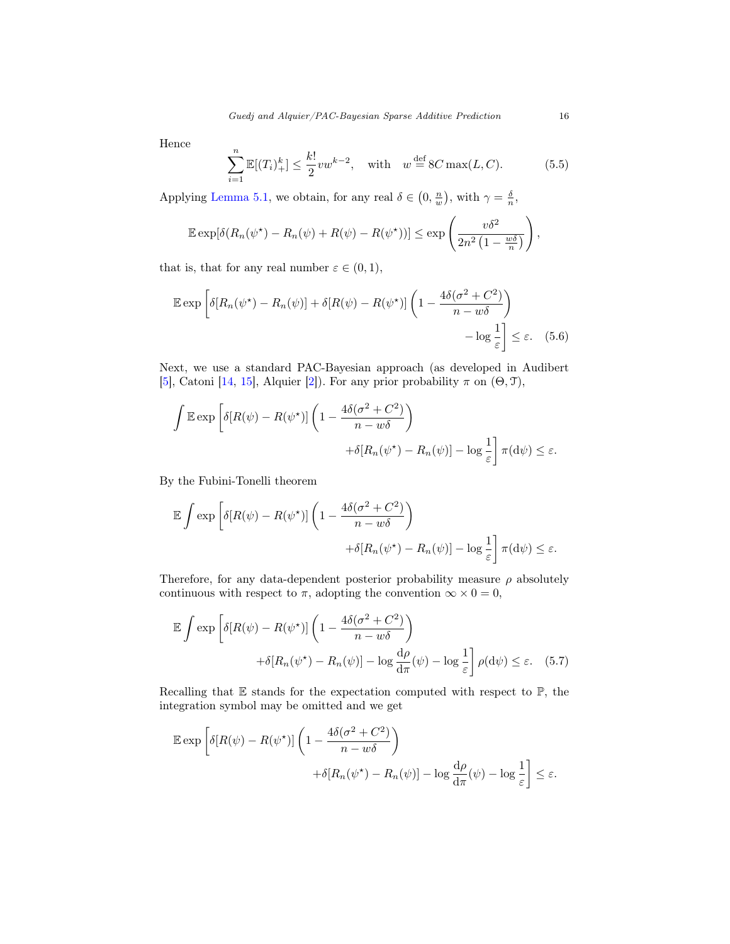Hence

<span id="page-15-0"></span>
$$
\sum_{i=1}^{n} \mathbb{E}[(T_i)^k_{+}] \le \frac{k!}{2}vw^{k-2}, \quad \text{with} \quad w \stackrel{\text{def}}{=} 8C \max(L, C). \tag{5.5}
$$

Applying [Lemma 5.1,](#page-12-0) we obtain, for any real  $\delta \in (0, \frac{n}{w})$ , with  $\gamma = \frac{\delta}{n}$ ,

$$
\mathbb{E} \exp[\delta(R_n(\psi^\star) - R_n(\psi) + R(\psi) - R(\psi^\star))] \le \exp\left(\frac{v\delta^2}{2n^2\left(1 - \frac{w\delta}{n}\right)}\right),
$$

that is, that for any real number  $\varepsilon \in (0,1)$ ,

$$
\mathbb{E} \exp \left[ \delta [R_n(\psi^\star) - R_n(\psi)] + \delta [R(\psi) - R(\psi^\star)] \left( 1 - \frac{4\delta(\sigma^2 + C^2)}{n - w\delta} \right) - \log \frac{1}{\varepsilon} \right] \le \varepsilon. \quad (5.6)
$$

Next, we use a standard PAC-Bayesian approach (as developed in Audibert [\[5\]](#page-23-2), Catoni [\[14,](#page-24-9) [15\]](#page-24-10), Alquier [\[2\]](#page-23-5)). For any prior probability  $\pi$  on  $(\Theta, \mathcal{T})$ ,

$$
\int \mathbb{E} \exp \left[ \delta [R(\psi) - R(\psi^*)] \left( 1 - \frac{4\delta(\sigma^2 + C^2)}{n - w\delta} \right) + \delta [R_n(\psi^*) - R_n(\psi)] - \log \frac{1}{\varepsilon} \right] \pi(\mathrm{d}\psi) \le \varepsilon.
$$

By the Fubini-Tonelli theorem

$$
\mathbb{E} \int \exp \left[ \delta [R(\psi) - R(\psi^*)] \left( 1 - \frac{4\delta(\sigma^2 + C^2)}{n - w\delta} \right) + \delta [R_n(\psi^*) - R_n(\psi)] - \log \frac{1}{\varepsilon} \right] \pi(\mathrm{d}\psi) \le \varepsilon.
$$

Therefore, for any data-dependent posterior probability measure  $\rho$  absolutely continuous with respect to  $\pi$ , adopting the convention  $\infty \times 0 = 0$ ,

<span id="page-15-1"></span>
$$
\mathbb{E} \int \exp \left[ \delta [R(\psi) - R(\psi^*)] \left( 1 - \frac{4\delta(\sigma^2 + C^2)}{n - w\delta} \right) + \delta [R_n(\psi^*) - R_n(\psi)] - \log \frac{d\rho}{d\pi}(\psi) - \log \frac{1}{\varepsilon} \right] \rho(\mathrm{d}\psi) \le \varepsilon. \tag{5.7}
$$

Recalling that  $E$  stands for the expectation computed with respect to  $\mathbb{P}$ , the integration symbol may be omitted and we get

$$
\mathbb{E} \exp \left[ \delta [R(\psi) - R(\psi^*)] \left( 1 - \frac{4\delta(\sigma^2 + C^2)}{n - w\delta} \right) + \delta [R_n(\psi^*) - R_n(\psi)] - \log \frac{d\rho}{d\pi}(\psi) - \log \frac{1}{\varepsilon} \right] \le \varepsilon.
$$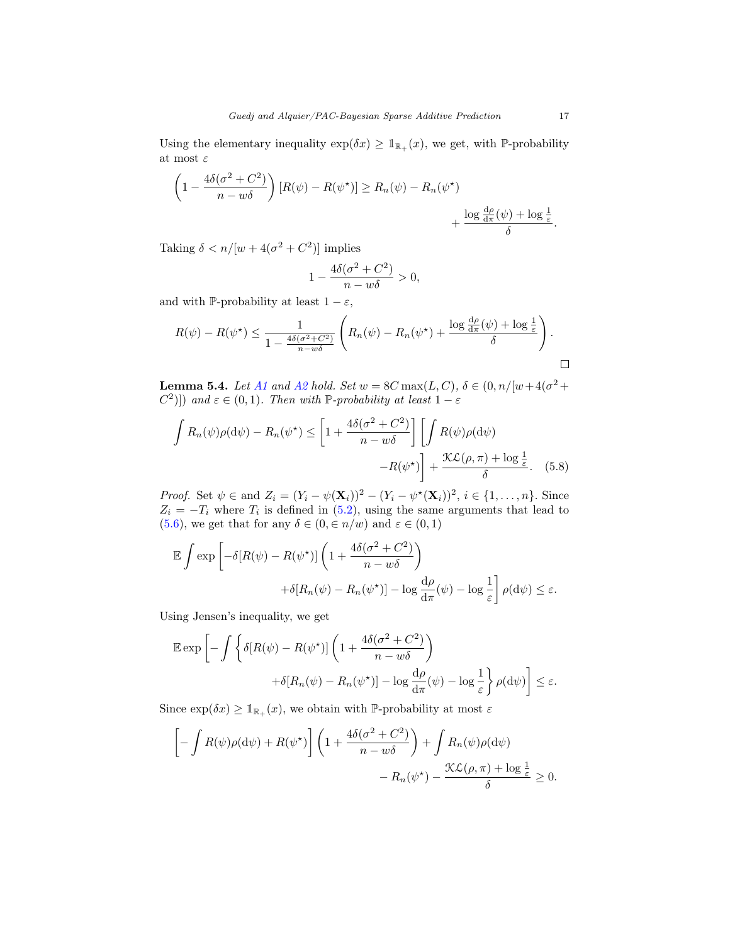Using the elementary inequality  $\exp(\delta x) \geq \mathbb{1}_{\mathbb{R}_+}(x)$ , we get, with P-probability at most  $\varepsilon$ 

$$
\left(1 - \frac{4\delta(\sigma^2 + C^2)}{n - w\delta}\right) [R(\psi) - R(\psi^*)] \ge R_n(\psi) - R_n(\psi^*) + \frac{\log \frac{d\rho}{d\pi}(\psi) + \log \frac{1}{\varepsilon}}{\delta}.
$$

Taking  $\delta < n/[w+4(\sigma^2+C^2)]$  implies

<span id="page-16-1"></span>
$$
1 - \frac{4\delta(\sigma^2 + C^2)}{n - w\delta} > 0,
$$

and with P-probability at least  $1 - \varepsilon$ ,

$$
R(\psi) - R(\psi^*) \leq \frac{1}{1 - \frac{4\delta(\sigma^2 + C^2)}{n - w\delta}} \left( R_n(\psi) - R_n(\psi^*) + \frac{\log \frac{d\rho}{d\pi}(\psi) + \log \frac{1}{\varepsilon}}{\delta} \right).
$$

<span id="page-16-0"></span>**Lemma 5.4.** Let [A1](#page-3-1) and [A2](#page-3-2) hold. Set  $w = 8C \max(L, C), \delta \in (0, n/|w+4(\sigma^2 +$ C<sup>2</sup>)]) and  $\varepsilon \in (0,1)$ . Then with P-probability at least  $1 - \varepsilon$ 

$$
\int R_n(\psi)\rho(\mathrm{d}\psi) - R_n(\psi^*) \le \left[1 + \frac{4\delta(\sigma^2 + C^2)}{n - w\delta}\right] \left[\int R(\psi)\rho(\mathrm{d}\psi) - R(\psi^*)\right] + \frac{\mathcal{K}\mathcal{L}(\rho, \pi) + \log \frac{1}{\varepsilon}}{\delta}.
$$
 (5.8)

*Proof.* Set  $\psi \in \text{and } Z_i = (Y_i - \psi(\mathbf{X}_i))^2 - (Y_i - \psi^*(\mathbf{X}_i))^2, i \in \{1, ..., n\}.$  Since  $Z_i = -T_i$  where  $T_i$  is defined in [\(5.2\)](#page-13-2), using the same arguments that lead to [\(5.6\)](#page-15-0), we get that for any  $\delta \in (0, \in n/w)$  and  $\varepsilon \in (0, 1)$ 

$$
\mathbb{E}\int \exp\left[-\delta[R(\psi) - R(\psi^*)]\left(1 + \frac{4\delta(\sigma^2 + C^2)}{n - w\delta}\right)\right] + \delta[R_n(\psi) - R_n(\psi^*)] - \log\frac{d\rho}{d\pi}(\psi) - \log\frac{1}{\varepsilon}\right]\rho(\mathrm{d}\psi) \le \varepsilon.
$$

Using Jensen's inequality, we get

$$
\mathbb{E} \exp \left[ - \int \left\{ \delta [R(\psi) - R(\psi^*)] \left( 1 + \frac{4\delta(\sigma^2 + C^2)}{n - w\delta} \right) + \delta [R_n(\psi) - R_n(\psi^*)] - \log \frac{d\rho}{d\pi}(\psi) - \log \frac{1}{\varepsilon} \right\} \rho(\mathrm{d}\psi) \right] \le \varepsilon.
$$

Since  $\exp(\delta x) \geq \mathbb{1}_{\mathbb{R}_+}(x)$ , we obtain with P-probability at most  $\varepsilon$ 

$$
\[ - \int R(\psi)\rho(\mathrm{d}\psi) + R(\psi^{\star}) \] \left( 1 + \frac{4\delta(\sigma^2 + C^2)}{n - w\delta} \right) + \int R_n(\psi)\rho(\mathrm{d}\psi) -R_n(\psi^{\star}) - \frac{\mathcal{K}\mathcal{L}(\rho, \pi) + \log \frac{1}{\varepsilon}}{\delta} \ge 0. \]
$$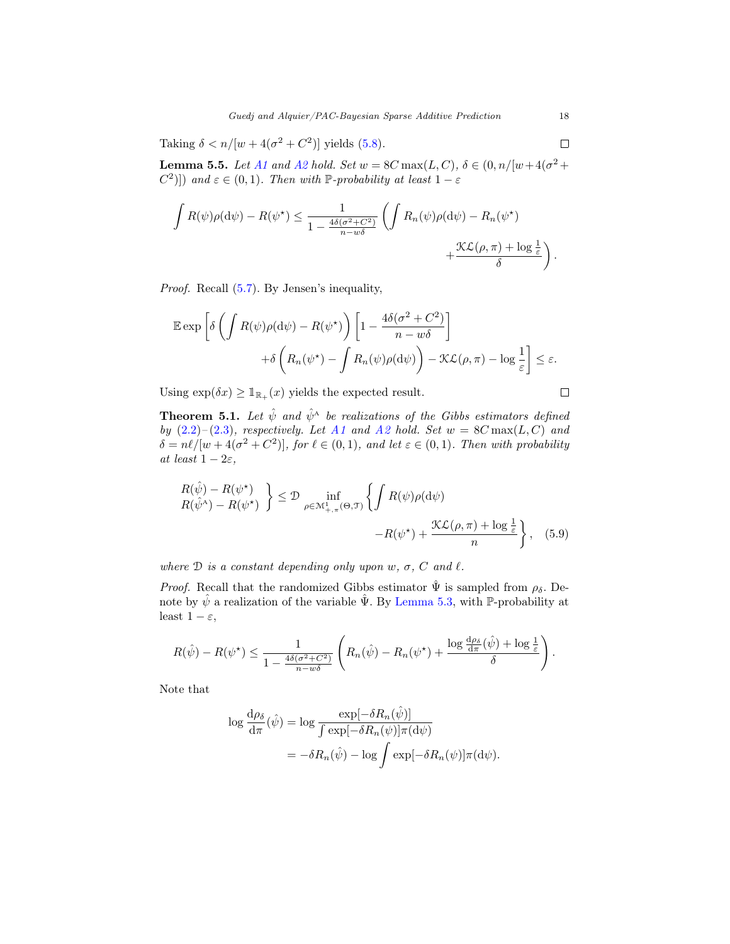Taking  $\delta < n/[w + 4(\sigma^2 + C^2)]$  yields [\(5.8\)](#page-16-1).

<span id="page-17-1"></span>**Lemma 5.5.** Let [A1](#page-3-1) and [A2](#page-3-2) hold. Set  $w = 8C \max(L, C), \delta \in (0, n/|w+4(\sigma^2 +$ C<sup>2</sup>)]) and  $\varepsilon \in (0,1)$ . Then with P-probability at least  $1 - \varepsilon$ 

$$
\int R(\psi)\rho(\mathrm{d}\psi) - R(\psi^*) \le \frac{1}{1 - \frac{4\delta(\sigma^2 + C^2)}{n - w\delta}} \left( \int R_n(\psi)\rho(\mathrm{d}\psi) - R_n(\psi^*) + \frac{\mathcal{K}\mathcal{L}(\rho, \pi) + \log \frac{1}{\varepsilon}}{\delta} \right).
$$

Proof. Recall [\(5.7\)](#page-15-1). By Jensen's inequality,

$$
\mathbb{E} \exp \left[ \delta \left( \int R(\psi) \rho(\mathrm{d}\psi) - R(\psi^{\star}) \right) \left[ 1 - \frac{4\delta(\sigma^2 + C^2)}{n - w\delta} \right] + \delta \left( R_n(\psi^{\star}) - \int R_n(\psi) \rho(\mathrm{d}\psi) \right) - \mathcal{K}\mathcal{L}(\rho, \pi) - \log \frac{1}{\varepsilon} \right] \le \varepsilon.
$$

Using  $\exp(\delta x) \geq \mathbb{1}_{\mathbb{R}_+}(x)$  yields the expected result.

 $\Box$ 

<span id="page-17-0"></span>**Theorem 5.1.** Let  $\hat{\psi}$  and  $\hat{\psi}^{\text{A}}$  be realizations of the Gibbs estimators defined by  $(2.2)$ – $(2.3)$ , respectively. Let [A1](#page-3-1) and [A2](#page-3-2) hold. Set  $w = 8C \max(L, C)$  and  $\delta = n\ell/[w + 4(\sigma^2 + C^2)]$ , for  $\ell \in (0, 1)$ , and let  $\varepsilon \in (0, 1)$ . Then with probability at least  $1 - 2\varepsilon$ ,

$$
\begin{aligned} R(\hat{\psi}) - R(\psi^*) \\ R(\hat{\psi}^{\mathcal{A}}) - R(\psi^*) \end{aligned} \Big\} \le \mathcal{D} \inf_{\rho \in \mathcal{M}^1_{+,\pi}(\Theta,\mathcal{T})} \left\{ \int R(\psi) \rho(\mathrm{d}\psi) \\ - R(\psi^*) + \frac{\mathcal{K}\mathcal{L}(\rho,\pi) + \log \frac{1}{\varepsilon}}{n} \right\}, \quad (5.9)
$$

where  $D$  is a constant depending only upon w,  $\sigma$ ,  $C$  and  $\ell$ .

*Proof.* Recall that the randomized Gibbs estimator  $\hat{\Psi}$  is sampled from  $\rho_{\delta}$ . Denote by  $\hat{\psi}$  a realization of the variable  $\hat{\Psi}$ . By [Lemma 5.3,](#page-13-1) with P-probability at least  $1 - \varepsilon$ ,

$$
R(\hat{\psi}) - R(\psi^{\star}) \leq \frac{1}{1 - \frac{4\delta(\sigma^2 + C^2)}{n - w\delta}} \left( R_n(\hat{\psi}) - R_n(\psi^{\star}) + \frac{\log \frac{d\rho_{\delta}}{d\pi}(\hat{\psi}) + \log \frac{1}{\varepsilon}}{\delta} \right).
$$

Note that

$$
\log \frac{d\rho_{\delta}}{d\pi}(\hat{\psi}) = \log \frac{\exp[-\delta R_n(\hat{\psi})]}{\int \exp[-\delta R_n(\psi)]\pi(d\psi)}
$$
  
=  $-\delta R_n(\hat{\psi}) - \log \int \exp[-\delta R_n(\psi)]\pi(d\psi).$ 

 $\Box$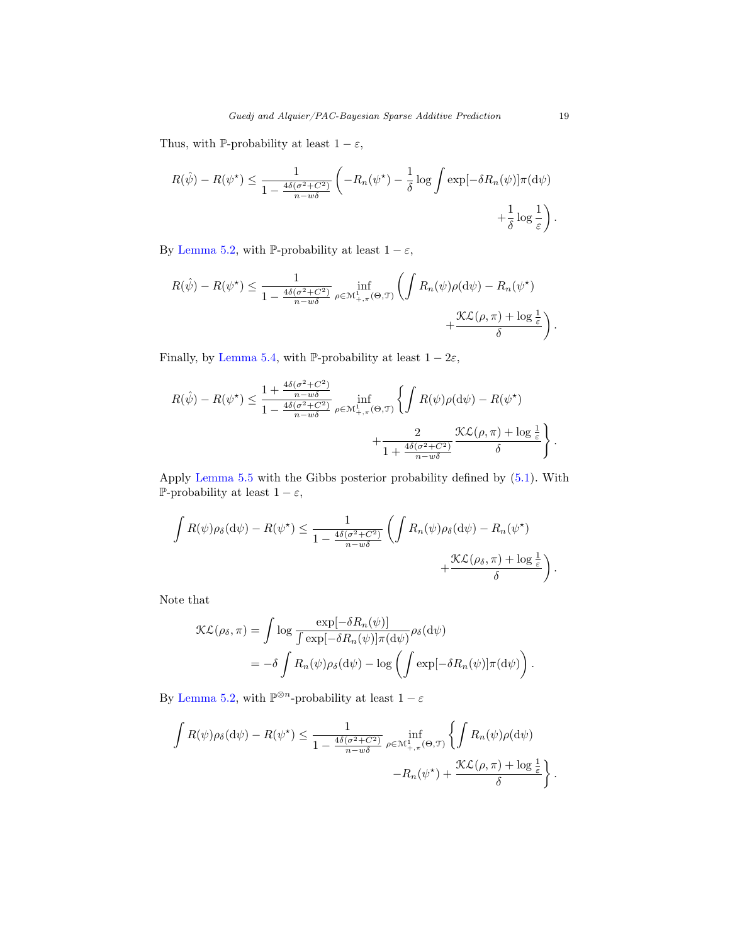Thus, with P-probability at least  $1 - \varepsilon$ ,

$$
R(\hat{\psi}) - R(\psi^*) \le \frac{1}{1 - \frac{4\delta(\sigma^2 + C^2)}{n - w\delta}} \left( -R_n(\psi^*) - \frac{1}{\delta} \log \int \exp[-\delta R_n(\psi)] \pi(\mathrm{d}\psi) + \frac{1}{\delta} \log \frac{1}{\varepsilon} \right).
$$

By [Lemma 5.2,](#page-12-1) with P-probability at least  $1 - \varepsilon$ ,

$$
R(\hat{\psi}) - R(\psi^*) \le \frac{1}{1 - \frac{4\delta(\sigma^2 + C^2)}{n - w\delta}} \inf_{\rho \in \mathcal{M}^1_{+, \pi}(\Theta, \mathcal{T})} \left( \int R_n(\psi) \rho(\mathrm{d}\psi) - R_n(\psi^*) + \frac{\mathcal{K}\mathcal{L}(\rho, \pi) + \log \frac{1}{\varepsilon}}{\delta} \right).
$$

Finally, by [Lemma 5.4,](#page-16-0) with P-probability at least  $1 - 2\varepsilon$ ,

$$
R(\hat{\psi}) - R(\psi^{\star}) \le \frac{1 + \frac{4\delta(\sigma^2 + C^2)}{n - w\delta}}{1 - \frac{4\delta(\sigma^2 + C^2)}{n - w\delta}} \inf_{\rho \in \mathcal{M}^1_{+, \pi}(\Theta, \mathcal{T})} \left\{ \int R(\psi) \rho(\mathrm{d}\psi) - R(\psi^{\star}) \right\} + \frac{2}{1 + \frac{4\delta(\sigma^2 + C^2)}{n - w\delta}} \frac{\mathcal{K}\mathcal{L}(\rho, \pi) + \log\frac{1}{\varepsilon}}{ \delta} \right\}.
$$

Apply [Lemma 5.5](#page-17-1) with the Gibbs posterior probability defined by [\(5.1\)](#page-12-2). With P-probability at least  $1 - \varepsilon$ ,

$$
\int R(\psi)\rho_{\delta}(\mathrm{d}\psi) - R(\psi^{\star}) \leq \frac{1}{1 - \frac{4\delta(\sigma^2 + C^2)}{n - w\delta}} \left( \int R_n(\psi)\rho_{\delta}(\mathrm{d}\psi) - R_n(\psi^{\star}) + \frac{\mathcal{K}\mathcal{L}(\rho_{\delta}, \pi) + \log \frac{1}{\varepsilon}}{\delta} \right).
$$

Note that

$$
\mathcal{KL}(\rho_{\delta}, \pi) = \int \log \frac{\exp[-\delta R_n(\psi)]}{\int \exp[-\delta R_n(\psi)] \pi(\mathrm{d}\psi)} \rho_{\delta}(\mathrm{d}\psi)
$$
  
=  $-\delta \int R_n(\psi) \rho_{\delta}(\mathrm{d}\psi) - \log \left( \int \exp[-\delta R_n(\psi)] \pi(\mathrm{d}\psi) \right).$ 

By [Lemma 5.2,](#page-12-1) with  $\mathbb{P}^{\otimes n}$ -probability at least  $1-\varepsilon$ 

$$
\int R(\psi)\rho_{\delta}(\mathrm{d}\psi) - R(\psi^{\star}) \leq \frac{1}{1 - \frac{4\delta(\sigma^2 + C^2)}{n - w\delta}} \inf_{\rho \in \mathcal{M}^1_{+, \pi}(\Theta, \mathcal{T})} \left\{ \int R_n(\psi)\rho(\mathrm{d}\psi) -R_n(\psi^{\star}) + \frac{\mathcal{K}\mathcal{L}(\rho, \pi) + \log \frac{1}{\varepsilon}}{\delta} \right\}.
$$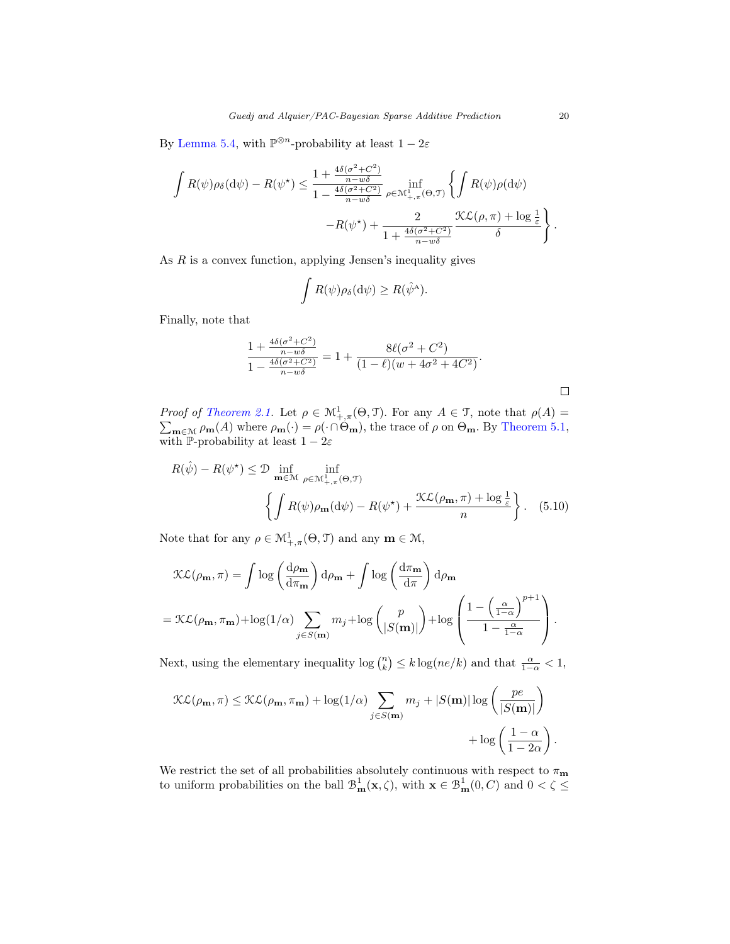By [Lemma 5.4,](#page-16-0) with  $\mathbb{P}^{\otimes n}$ -probability at least  $1-2\varepsilon$ 

$$
\int R(\psi)\rho_{\delta}(\mathrm{d}\psi) - R(\psi^{\star}) \leq \frac{1 + \frac{4\delta(\sigma^2 + C^2)}{n - w\delta}}{1 - \frac{4\delta(\sigma^2 + C^2)}{n - w\delta}} \inf_{\rho \in \mathcal{M}^1_{+, \pi}(\Theta, \mathcal{T})} \left\{ \int R(\psi)\rho(\mathrm{d}\psi) -R(\psi^{\star}) + \frac{2}{1 + \frac{4\delta(\sigma^2 + C^2)}{n - w\delta}} \frac{\mathcal{K}\mathcal{L}(\rho, \pi) + \log\frac{1}{\varepsilon}}{\delta} \right\}.
$$

As  $R$  is a convex function, applying Jensen's inequality gives

$$
\int R(\psi)\rho_{\delta}(\mathrm{d}\psi) \geq R(\hat{\psi}^{\mathbf{A}}).
$$

Finally, note that

$$
\frac{1 + \frac{4\delta(\sigma^2 + C^2)}{n - w\delta}}{1 - \frac{4\delta(\sigma^2 + C^2)}{n - w\delta}} = 1 + \frac{8\ell(\sigma^2 + C^2)}{(1 - \ell)(w + 4\sigma^2 + 4C^2)}.
$$

Proof of [Theorem 2.1.](#page-5-2) Let  $\rho \in M^1_{+, \pi}(\Theta, \mathcal{T})$ . For any  $A \in \mathcal{T}$ , note that  $\rho(A) = \sum_{\mathbf{m} \in \mathcal{M}} \rho_{\mathbf{m}}(A)$  where  $\rho_{\mathbf{m}}(\cdot) = \rho(\cdot \cap \Theta_{\mathbf{m}})$ , the trace of  $\rho$  on  $\Theta_{\mathbf{m}}$ . By Theorem 5.1,  $_{\mathbf{m}\in\mathcal{M}}\rho_{\mathbf{m}}(A)$  where  $\rho_{\mathbf{m}}(\cdot) = \rho(\cdot \cap \Theta_{\mathbf{m}})$ , the trace of  $\rho$  on  $\Theta_{\mathbf{m}}$ . By [Theorem 5.1,](#page-17-0) with P-probability at least  $1 - 2\varepsilon$ 

$$
R(\hat{\psi}) - R(\psi^*) \le \mathcal{D} \inf_{\mathbf{m} \in \mathcal{M}} \inf_{\rho \in \mathcal{M}^1_{+, \pi}(\Theta, \mathcal{T})} \left\{ \int R(\psi) \rho_{\mathbf{m}}(\mathrm{d}\psi) - R(\psi^*) + \frac{\mathcal{K} \mathcal{L}(\rho_{\mathbf{m}}, \pi) + \log \frac{1}{\varepsilon}}{n} \right\}. \quad (5.10)
$$

Note that for any  $\rho \in \mathcal{M}^1_{+,\pi}(\Theta,\mathcal{I})$  and any  $\mathbf{m} \in \mathcal{M}$ ,

$$
\mathcal{KL}(\rho_{\mathbf{m}}, \pi) = \int \log \left( \frac{d\rho_{\mathbf{m}}}{d\pi_{\mathbf{m}}} \right) d\rho_{\mathbf{m}} + \int \log \left( \frac{d\pi_{\mathbf{m}}}{d\pi} \right) d\rho_{\mathbf{m}}
$$
  
= 
$$
\mathcal{KL}(\rho_{\mathbf{m}}, \pi_{\mathbf{m}}) + \log(1/\alpha) \sum_{j \in S(\mathbf{m})} m_j + \log \left( \frac{p}{|S(\mathbf{m})|} \right) + \log \left( \frac{1 - \left( \frac{\alpha}{1 - \alpha} \right)^{p+1}}{1 - \frac{\alpha}{1 - \alpha}} \right).
$$

Next, using the elementary inequality  $\log {n \choose k} \le k \log(ne/k)$  and that  $\frac{\alpha}{1-\alpha} < 1$ ,

$$
\mathcal{KL}(\rho_{\mathbf{m}}, \pi) \leq \mathcal{KL}(\rho_{\mathbf{m}}, \pi_{\mathbf{m}}) + \log(1/\alpha) \sum_{j \in S(\mathbf{m})} m_j + |S(\mathbf{m})| \log \left( \frac{pe}{|S(\mathbf{m})|} \right) + \log \left( \frac{1 - \alpha}{1 - 2\alpha} \right).
$$

We restrict the set of all probabilities absolutely continuous with respect to  $\pi_{\mathbf{m}}$ to uniform probabilities on the ball  $\mathcal{B}^1_{\mathbf{m}}(\mathbf{x}, \zeta)$ , with  $\mathbf{x} \in \mathcal{B}^1_{\mathbf{m}}(0, C)$  and  $0 < \zeta \leq$ 

<span id="page-19-0"></span> $\Box$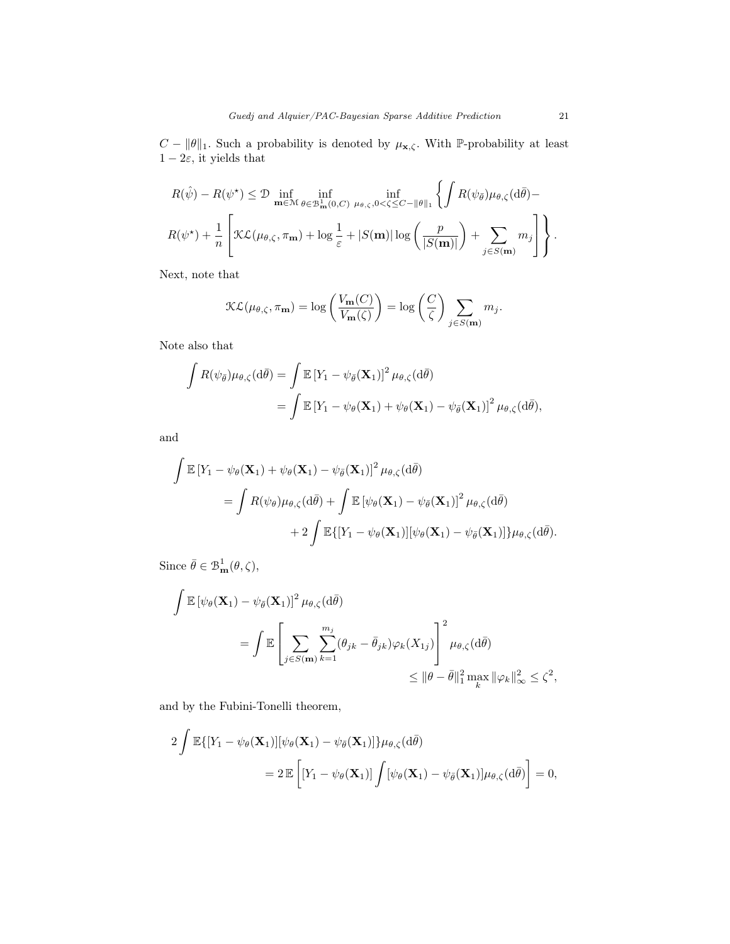$C - ||\theta||_1$ . Such a probability is denoted by  $\mu_{\mathbf{x}, \zeta}$ . With P-probability at least  $1-2\varepsilon$ , it yields that

$$
R(\hat{\psi}) - R(\psi^*) \leq \mathcal{D} \inf_{\mathbf{m} \in \mathcal{M}} \inf_{\theta \in \mathcal{B}^1_{\mathbf{m}}(0,C)} \inf_{\mu_{\theta,\zeta},0 < \zeta \leq C - ||\theta||_1} \left\{ \int R(\psi_{\bar{\theta}}) \mu_{\theta,\zeta}(\mathrm{d}\bar{\theta}) - R(\psi^*) + \frac{1}{n} \left[ \mathcal{KL}(\mu_{\theta,\zeta}, \pi_{\mathbf{m}}) + \log \frac{1}{\varepsilon} + |S(\mathbf{m})| \log \left( \frac{p}{|S(\mathbf{m})|} \right) + \sum_{j \in S(\mathbf{m})} m_j \right] \right\}.
$$

Next, note that

$$
\mathcal{KL}(\mu_{\theta,\zeta}, \pi_{\mathbf{m}}) = \log \left( \frac{V_{\mathbf{m}}(C)}{V_{\mathbf{m}}(\zeta)} \right) = \log \left( \frac{C}{\zeta} \right) \sum_{j \in S(\mathbf{m})} m_j.
$$

Note also that

$$
\int R(\psi_{\bar{\theta}})\mu_{\theta,\zeta}(\mathrm{d}\bar{\theta}) = \int \mathbb{E} \left[Y_1 - \psi_{\bar{\theta}}(\mathbf{X}_1)\right]^2 \mu_{\theta,\zeta}(\mathrm{d}\bar{\theta})
$$
  
= 
$$
\int \mathbb{E} \left[Y_1 - \psi_{\theta}(\mathbf{X}_1) + \psi_{\theta}(\mathbf{X}_1) - \psi_{\bar{\theta}}(\mathbf{X}_1)\right]^2 \mu_{\theta,\zeta}(\mathrm{d}\bar{\theta}),
$$

and

$$
\int \mathbb{E} \left[ Y_1 - \psi_{\theta}(\mathbf{X}_1) + \psi_{\theta}(\mathbf{X}_1) - \psi_{\bar{\theta}}(\mathbf{X}_1) \right]^2 \mu_{\theta,\zeta}(\mathrm{d}\bar{\theta})
$$
\n
$$
= \int R(\psi_{\theta}) \mu_{\theta,\zeta}(\mathrm{d}\bar{\theta}) + \int \mathbb{E} \left[ \psi_{\theta}(\mathbf{X}_1) - \psi_{\bar{\theta}}(\mathbf{X}_1) \right]^2 \mu_{\theta,\zeta}(\mathrm{d}\bar{\theta})
$$
\n
$$
+ 2 \int \mathbb{E} \left\{ \left[ Y_1 - \psi_{\theta}(\mathbf{X}_1) \right] \left[ \psi_{\theta}(\mathbf{X}_1) - \psi_{\bar{\theta}}(\mathbf{X}_1) \right] \right\} \mu_{\theta,\zeta}(\mathrm{d}\bar{\theta}).
$$

Since  $\bar{\theta} \in \mathcal{B}^1_{\mathbf{m}}(\theta, \zeta),$ 

$$
\int \mathbb{E} \left[ \psi_{\theta}(\mathbf{X}_{1}) - \psi_{\bar{\theta}}(\mathbf{X}_{1}) \right]^{2} \mu_{\theta, \zeta}(\mathrm{d}\bar{\theta})
$$
\n
$$
= \int \mathbb{E} \left[ \sum_{j \in S(\mathbf{m})} \sum_{k=1}^{m_{j}} (\theta_{jk} - \bar{\theta}_{jk}) \varphi_{k}(X_{1j}) \right]^{2} \mu_{\theta, \zeta}(\mathrm{d}\bar{\theta})
$$
\n
$$
\leq ||\theta - \bar{\theta}||_{1}^{2} \max_{k} ||\varphi_{k}||_{\infty}^{2} \leq \zeta^{2},
$$

and by the Fubini-Tonelli theorem,

$$
2\int \mathbb{E}\{[Y_1 - \psi_{\theta}(\mathbf{X}_1)][\psi_{\theta}(\mathbf{X}_1) - \psi_{\bar{\theta}}(\mathbf{X}_1)]\}\mu_{\theta,\zeta}(d\bar{\theta})
$$
  
= 
$$
2\mathbb{E}\left[[Y_1 - \psi_{\theta}(\mathbf{X}_1)]\int [\psi_{\theta}(\mathbf{X}_1) - \psi_{\bar{\theta}}(\mathbf{X}_1)]\mu_{\theta,\zeta}(d\bar{\theta})\right] = 0,
$$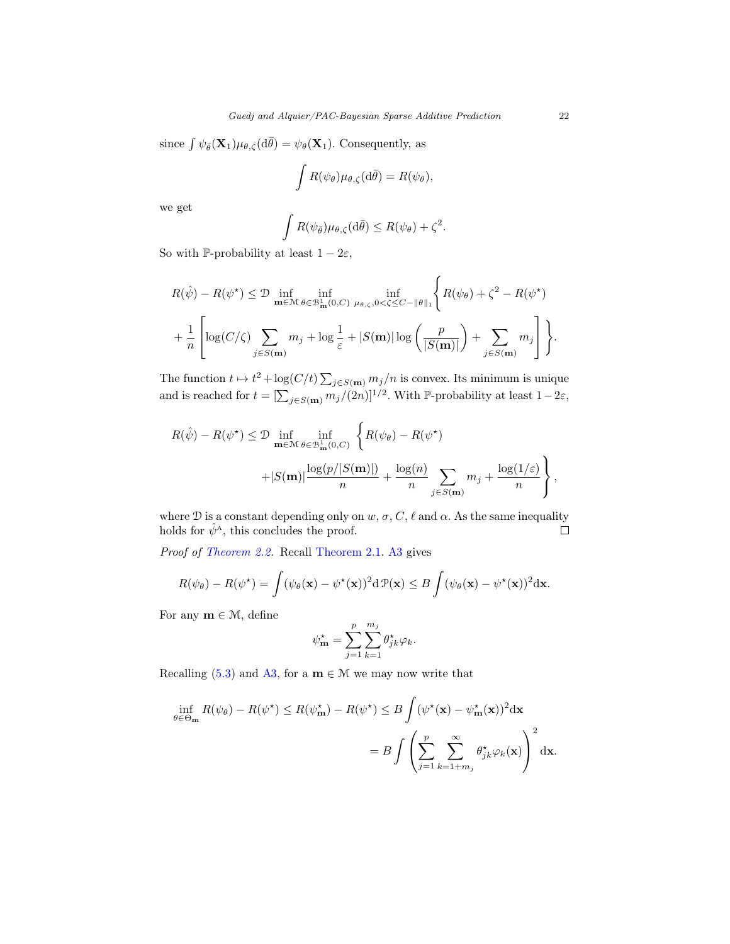since  $\int \psi_{\bar{\theta}}(\mathbf{X}_1)\mu_{\theta,\zeta}(\mathrm{d}\bar{\theta}) = \psi_{\theta}(\mathbf{X}_1)$ . Consequently, as

$$
\int R(\psi_{\theta})\mu_{\theta,\zeta}(\mathrm{d}\bar{\theta}) = R(\psi_{\theta}),
$$

we get

$$
\int R(\psi_{\bar{\theta}})\mu_{\theta,\zeta}(\mathrm{d}\bar{\theta}) \leq R(\psi_{\theta}) + \zeta^2.
$$

So with P-probability at least  $1 - 2\varepsilon$ ,

$$
R(\hat{\psi}) - R(\psi^*) \leq \mathcal{D} \inf_{\mathbf{m} \in \mathcal{M}} \inf_{\theta \in \mathcal{B}^1_{\mathbf{m}}(0,C)} \inf_{\mu_{\theta,\zeta},0 < \zeta \leq C - ||\theta||_1} \left\{ R(\psi_{\theta}) + \zeta^2 - R(\psi^*) \right\}
$$

$$
+ \frac{1}{n} \left[ \log(C/\zeta) \sum_{j \in S(\mathbf{m})} m_j + \log \frac{1}{\varepsilon} + |S(\mathbf{m})| \log \left( \frac{p}{|S(\mathbf{m})|} \right) + \sum_{j \in S(\mathbf{m})} m_j \right] \right\}.
$$

The function  $t \mapsto t^2 + \log(C/t) \sum_{j \in S(m)} m_j/n$  is convex. Its minimum is unique and is reached for  $t = [\sum_{j \in S(m)} m_j/(2n)]^{1/2}$ . With P-probability at least  $1-2\varepsilon$ ,

$$
R(\hat{\psi}) - R(\psi^*) \leq \mathcal{D} \inf_{\mathbf{m} \in \mathcal{M}} \inf_{\theta \in \mathcal{B}_{\mathbf{m}}^1(0, C)} \left\{ R(\psi_{\theta}) - R(\psi^*) \right\}
$$

$$
+ |S(\mathbf{m})| \frac{\log(p/|S(\mathbf{m})|)}{n} + \frac{\log(n)}{n} \sum_{j \in S(\mathbf{m})} m_j + \frac{\log(1/\varepsilon)}{n} \right\},
$$

where  $D$  is a constant depending only on  $w, \sigma, C, \ell$  and  $\alpha$ . As the same inequality holds for  $\hat{\psi}^{\mathcal{A}}$ , this concludes the proof.  $\Box$ 

Proof of [Theorem 2.2.](#page-6-1) Recall [Theorem 2.1.](#page-5-2) [A3](#page-6-0) gives

$$
R(\psi_{\theta}) - R(\psi^{\star}) = \int (\psi_{\theta}(\mathbf{x}) - \psi^{\star}(\mathbf{x}))^{2} d\mathcal{P}(\mathbf{x}) \leq B \int (\psi_{\theta}(\mathbf{x}) - \psi^{\star}(\mathbf{x}))^{2} d\mathbf{x}.
$$

For any  $m \in \mathcal{M}$ , define

$$
\psi_{\mathbf{m}}^{\star}=\sum_{j=1}^{p}\sum_{k=1}^{m_{j}}\theta_{jk}^{\star}\varphi_{k}.
$$

Recalling [\(5.3\)](#page-13-3) and [A3,](#page-6-0) for a  $\mathbf{m} \in \mathcal{M}$  we may now write that

$$
\inf_{\theta \in \Theta_{\mathbf{m}}} R(\psi_{\theta}) - R(\psi^{\star}) \le R(\psi^{\star}_{\mathbf{m}}) - R(\psi^{\star}) \le B \int (\psi^{\star}(\mathbf{x}) - \psi^{\star}_{\mathbf{m}}(\mathbf{x}))^{2} d\mathbf{x}
$$

$$
= B \int \left( \sum_{j=1}^{p} \sum_{k=1+m_{j}}^{\infty} \theta_{jk}^{\star} \varphi_{k}(\mathbf{x}) \right)^{2} d\mathbf{x}.
$$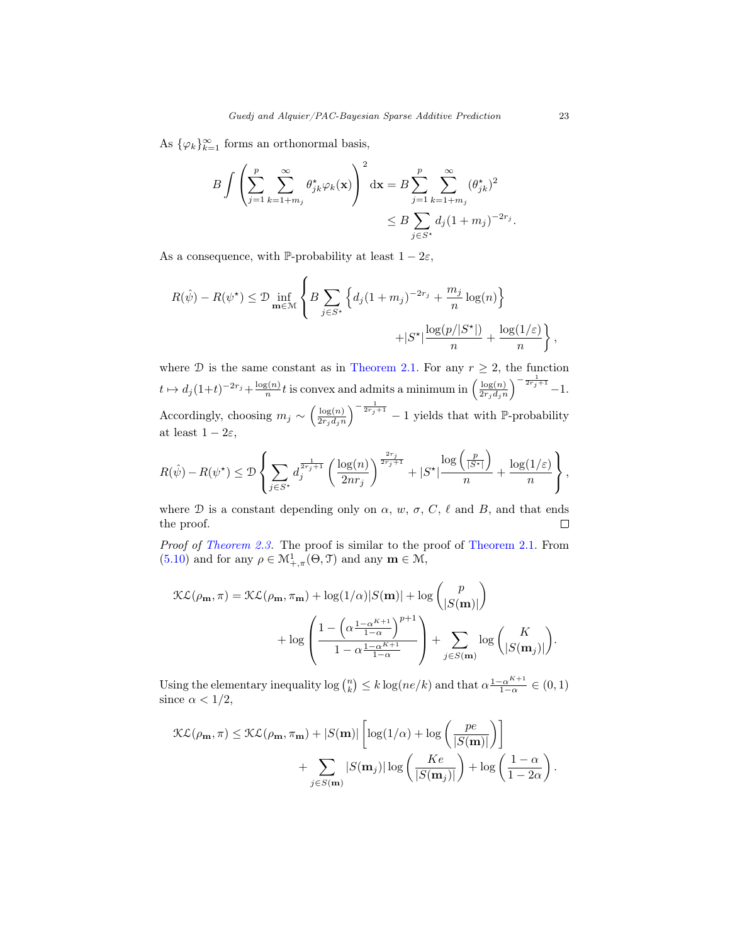As  $\{\varphi_k\}_{k=1}^{\infty}$  forms an orthonormal basis,

$$
B\int \left(\sum_{j=1}^p \sum_{k=1+m_j}^\infty \theta_{jk}^* \varphi_k(\mathbf{x})\right)^2 d\mathbf{x} = B \sum_{j=1}^p \sum_{k=1+m_j}^\infty (\theta_{jk}^*)^2
$$
  

$$
\leq B \sum_{j \in S^*} d_j (1+m_j)^{-2r_j}.
$$

As a consequence, with P-probability at least  $1 - 2\varepsilon$ ,

$$
R(\hat{\psi}) - R(\psi^*) \leq \mathcal{D} \inf_{\mathbf{m} \in \mathcal{M}} \left\{ B \sum_{j \in S^*} \left\{ d_j (1 + m_j)^{-2r_j} + \frac{m_j}{n} \log(n) \right\} + |S^*| \frac{\log(p/|S^*|)}{n} + \frac{\log(1/\varepsilon)}{n} \right\}
$$

where D is the same constant as in [Theorem 2.1.](#page-5-2) For any  $r \geq 2$ , the function  $t \mapsto d_j (1+t)^{-2r_j} + \frac{\log(n)}{n}$  $\frac{\zeta(n)}{n}t$  is convex and admits a minimum in  $\left(\frac{\log(n)}{2r_i d_i n}\right)$  $\frac{\log(n)}{2r_j d_j n}$  $\Big)^{-\frac{1}{2r_j+1}} - 1.$ Accordingly, choosing  $m_j \sim \left(\frac{\log(n)}{2r_i d_i n}\right)$  $\frac{\log(n)}{2r_jd_jn}$  $\Big)^{-\frac{1}{2r_j+1}}-1$  yields that with P-probability at least  $1 - 2\varepsilon$ ,

$$
R(\hat{\psi}) - R(\psi^\star) \leq \mathcal{D} \left\{ \sum_{j \in S^\star} d_j^{\frac{1}{2r_j+1}} \left( \frac{\log(n)}{2nr_j} \right)^{\frac{2r_j}{2r_j+1}} + |S^\star| \frac{\log\left(\frac{p}{|S^\star|}\right)}{n} + \frac{\log(1/\varepsilon)}{n} \right\},
$$

where  $\mathcal D$  is a constant depending only on  $\alpha$ ,  $w$ ,  $\sigma$ ,  $C$ ,  $\ell$  and  $B$ , and that ends the proof.  $\Box$ 

Proof of [Theorem 2.3.](#page-7-1) The proof is similar to the proof of [Theorem 2.1.](#page-5-2) From [\(5.10\)](#page-19-0) and for any  $\rho \in \mathcal{M}^1_{+,\pi}(\Theta,\mathcal{I})$  and any  $\mathbf{m} \in \mathcal{M}$ ,

$$
\mathcal{KL}(\rho_{\mathbf{m}}, \pi) = \mathcal{KL}(\rho_{\mathbf{m}}, \pi_{\mathbf{m}}) + \log(1/\alpha)|S(\mathbf{m})| + \log\binom{p}{|S(\mathbf{m})|} + \log\left(\frac{1 - \left(\alpha \frac{1 - \alpha^{K+1}}{1 - \alpha}\right)^{p+1}}{1 - \alpha \frac{1 - \alpha^{K+1}}{1 - \alpha}}\right) + \sum_{j \in S(\mathbf{m})} \log\binom{K}{|S(\mathbf{m}_j)|}.
$$

Using the elementary inequality  $\log {n \choose k} \le k \log(ne/k)$  and that  $\alpha \frac{1-\alpha^{K+1}}{1-\alpha}$  $\frac{-\alpha^{n+1}}{1-\alpha} \in (0,1)$ since  $\alpha < 1/2$ ,

$$
\mathcal{KL}(\rho_{\mathbf{m}}, \pi) \leq \mathcal{KL}(\rho_{\mathbf{m}}, \pi_{\mathbf{m}}) + |S(\mathbf{m})| \left[ \log(1/\alpha) + \log \left( \frac{pe}{|S(\mathbf{m})|} \right) \right] + \sum_{j \in S(\mathbf{m})} |S(\mathbf{m}_j)| \log \left( \frac{Ke}{|S(\mathbf{m}_j)|} \right) + \log \left( \frac{1 - \alpha}{1 - 2\alpha} \right).
$$

,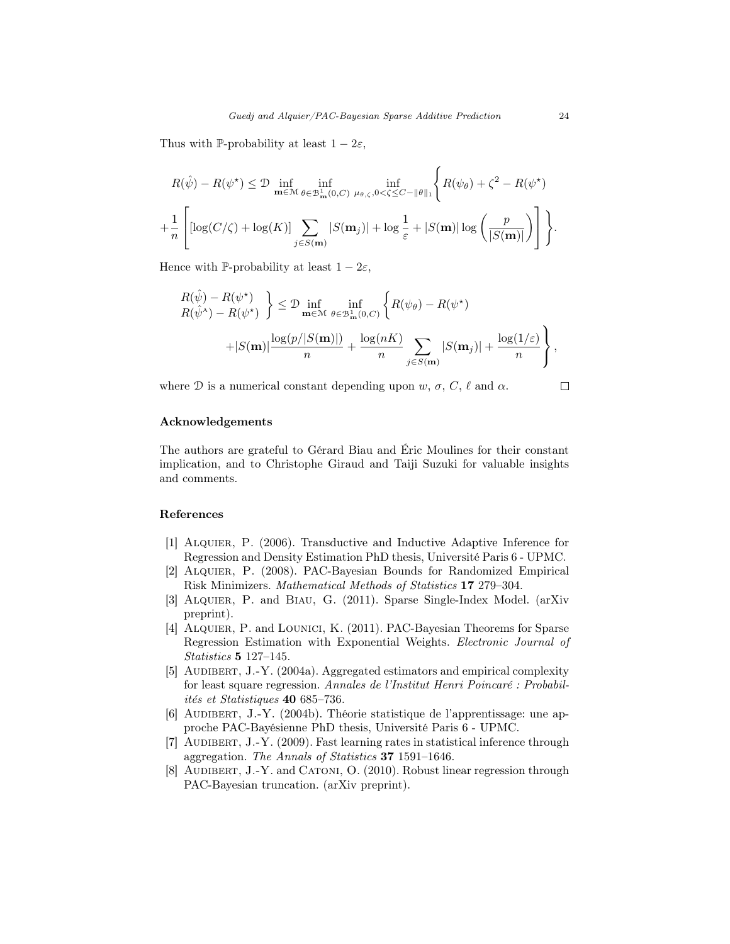Thus with P-probability at least  $1 - 2\varepsilon$ ,

$$
R(\hat{\psi}) - R(\psi^*) \leq \mathcal{D} \inf_{\mathbf{m} \in \mathcal{M}} \inf_{\theta \in \mathcal{B}^{\perp}_{\mathbf{m}}(0,C)} \inf_{\mu_{\theta,\zeta},0 < \zeta \leq C - ||\theta||_1} \left\{ R(\psi_{\theta}) + \zeta^2 - R(\psi^*) \right\}
$$

$$
+ \frac{1}{n} \left[ \left[ \log(C/\zeta) + \log(K) \right] \sum_{j \in S(\mathbf{m})} |S(\mathbf{m}_j)| + \log \frac{1}{\varepsilon} + |S(\mathbf{m})| \log \left( \frac{p}{|S(\mathbf{m})|} \right) \right] \right\}.
$$

Hence with P-probability at least  $1 - 2\varepsilon$ ,

$$
\begin{aligned} R(\hat{\psi}) - R(\psi^*) \\ R(\hat{\psi}^{\mathsf{A}}) - R(\psi^*) \end{aligned} \Big\} &\leq \mathcal{D} \inf_{\mathbf{m} \in \mathcal{M}} \inf_{\theta \in \mathcal{B}_{\mathbf{m}}^{\mathsf{I}}(0, C)} \left\{ R(\psi_{\theta}) - R(\psi^*) \\ + |S(\mathbf{m})| \frac{\log(p/|S(\mathbf{m})|)}{n} + \frac{\log(nK)}{n} \sum_{j \in S(\mathbf{m})} |S(\mathbf{m}_j)| + \frac{\log(1/\varepsilon)}{n} \right\},
$$

where  $\mathcal D$  is a numerical constant depending upon  $w, \sigma, C, \ell$  and  $\alpha$ .

 $\Box$ 

## <span id="page-23-0"></span>Acknowledgements

The authors are grateful to Gérard Biau and Éric Moulines for their constant implication, and to Christophe Giraud and Taiji Suzuki for valuable insights and comments.

#### <span id="page-23-1"></span>References

- <span id="page-23-4"></span>[1] Alquier, P. (2006). Transductive and Inductive Adaptive Inference for Regression and Density Estimation PhD thesis, Université Paris 6 - UPMC.
- <span id="page-23-5"></span>[2] Alquier, P. (2008). PAC-Bayesian Bounds for Randomized Empirical Risk Minimizers. Mathematical Methods of Statistics 17 279–304.
- <span id="page-23-9"></span>[3] Alquier, P. and Biau, G. (2011). Sparse Single-Index Model. (arXiv preprint).
- <span id="page-23-7"></span>[4] ALQUIER, P. and LOUNICI, K. (2011). PAC-Bayesian Theorems for Sparse Regression Estimation with Exponential Weights. Electronic Journal of Statistics 5 127–145.
- <span id="page-23-2"></span>[5] AUDIBERT, J.-Y. (2004a). Aggregated estimators and empirical complexity for least square regression. Annales de l'Institut Henri Poincaré : Probabilités et Statistiques 40 685–736.
- <span id="page-23-3"></span>[6] AUDIBERT, J.-Y. (2004b). Théorie statistique de l'apprentissage: une approche PAC-Bayésienne PhD thesis, Université Paris 6 - UPMC.
- <span id="page-23-8"></span>[7] AUDIBERT, J.-Y. (2009). Fast learning rates in statistical inference through aggregation. The Annals of Statistics 37 1591–1646.
- <span id="page-23-6"></span>[8] AUDIBERT, J.-Y. and CATONI, O. (2010). Robust linear regression through PAC-Bayesian truncation. (arXiv preprint).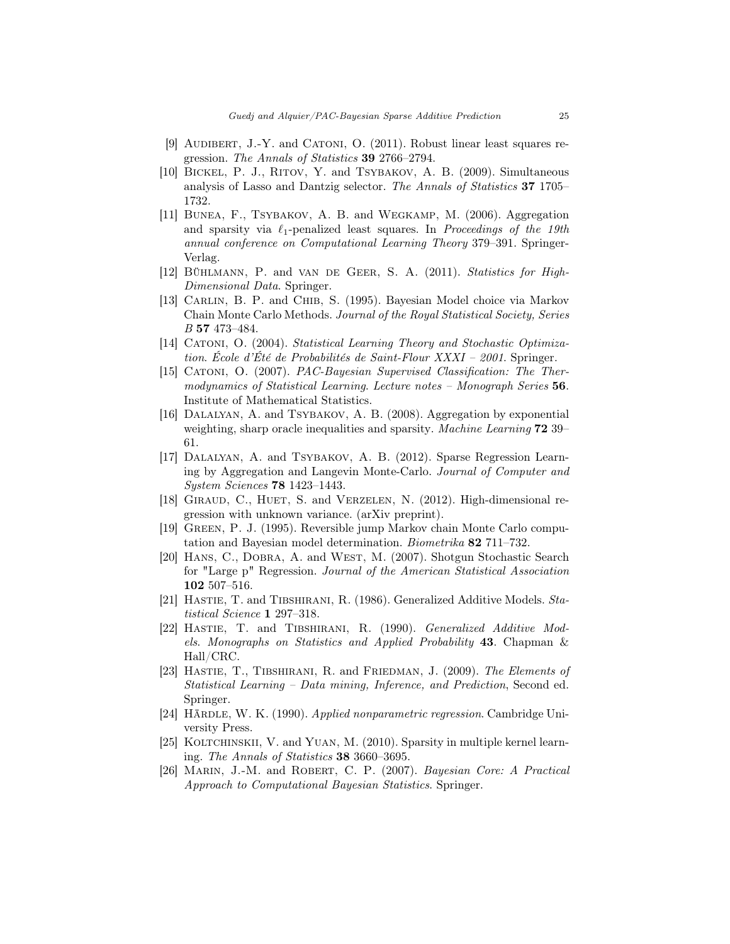- <span id="page-24-11"></span>[9] AUDIBERT, J.-Y. and CATONI, O. (2011). Robust linear least squares regression. The Annals of Statistics 39 2766–2794.
- <span id="page-24-3"></span>[10] Bickel, P. J., Ritov, Y. and Tsybakov, A. B. (2009). Simultaneous analysis of Lasso and Dantzig selector. The Annals of Statistics 37 1705– 1732.
- <span id="page-24-2"></span>[11] BUNEA, F., TSYBAKOV, A. B. and WEGKAMP, M. (2006). Aggregation and sparsity via  $\ell_1$ -penalized least squares. In *Proceedings of the 19th* annual conference on Computational Learning Theory 379–391. Springer-Verlag.
- <span id="page-24-1"></span>[12] Bühlmann, P. and van de Geer, S. A. (2011). Statistics for High-Dimensional Data. Springer.
- <span id="page-24-16"></span>[13] CARLIN, B. P. and CHIB, S. (1995). Bayesian Model choice via Markov Chain Monte Carlo Methods. Journal of the Royal Statistical Society, Series B 57 473–484.
- <span id="page-24-9"></span>[14] Catoni, O. (2004). Statistical Learning Theory and Stochastic Optimization. École d'Été de Probabilités de Saint-Flour XXXI – 2001. Springer.
- <span id="page-24-10"></span>[15] CATONI, O. (2007). PAC-Bayesian Supervised Classification: The Thermodynamics of Statistical Learning. Lecture notes – Monograph Series 56. Institute of Mathematical Statistics.
- <span id="page-24-12"></span>[16] Dalalyan, A. and Tsybakov, A. B. (2008). Aggregation by exponential weighting, sharp oracle inequalities and sparsity. Machine Learning 72 39– 61.
- <span id="page-24-13"></span>[17] DALALYAN, A. and TSYBAKOV, A. B. (2012). Sparse Regression Learning by Aggregation and Langevin Monte-Carlo. Journal of Computer and System Sciences 78 1423–1443.
- <span id="page-24-7"></span>[18] GIRAUD, C., HUET, S. and VERZELEN, N. (2012). High-dimensional regression with unknown variance. (arXiv preprint).
- <span id="page-24-15"></span>[19] Green, P. J. (1995). Reversible jump Markov chain Monte Carlo computation and Bayesian model determination. Biometrika 82 711–732.
- <span id="page-24-17"></span>[20] HANS, C., DOBRA, A. and WEST, M. (2007). Shotgun Stochastic Search for "Large p" Regression. Journal of the American Statistical Association 102 507–516.
- <span id="page-24-4"></span>[21] HASTIE, T. and TIBSHIRANI, R. (1986). Generalized Additive Models. Statistical Science 1 297–318.
- <span id="page-24-5"></span>[22] HASTIE, T. and TIBSHIRANI, R. (1990). Generalized Additive Models. Monographs on Statistics and Applied Probability 43. Chapman & Hall/CRC.
- <span id="page-24-0"></span>[23] HASTIE, T., TIBSHIRANI, R. and FRIEDMAN, J. (2009). The Elements of Statistical Learning – Data mining, Inference, and Prediction, Second ed. Springer.
- <span id="page-24-6"></span>[24] HÄRDLE, W. K. (1990). Applied nonparametric regression. Cambridge University Press.
- <span id="page-24-8"></span>[25] KOLTCHINSKII, V. and YUAN, M. (2010). Sparsity in multiple kernel learning. The Annals of Statistics 38 3660–3695.
- <span id="page-24-14"></span>[26] Marin, J.-M. and Robert, C. P. (2007). Bayesian Core: A Practical Approach to Computational Bayesian Statistics. Springer.